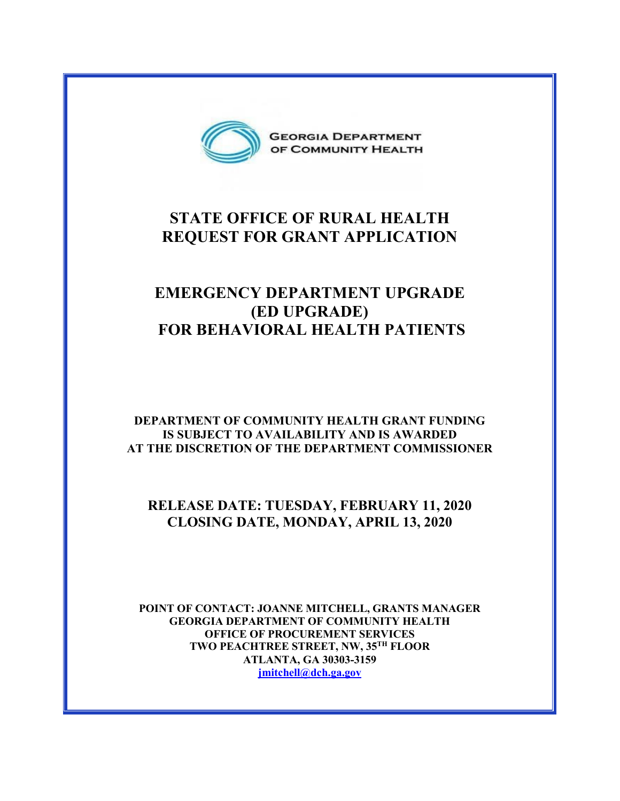

# **STATE OFFICE OF RURAL HEALTH REQUEST FOR GRANT APPLICATION**

# **EMERGENCY DEPARTMENT UPGRADE (ED UPGRADE) FOR BEHAVIORAL HEALTH PATIENTS**

### **DEPARTMENT OF COMMUNITY HEALTH GRANT FUNDING IS SUBJECT TO AVAILABILITY AND IS AWARDED AT THE DISCRETION OF THE DEPARTMENT COMMISSIONER**

# **RELEASE DATE: TUESDAY, FEBRUARY 11, 2020 CLOSING DATE, MONDAY, APRIL 13, 2020**

**POINT OF CONTACT: JOANNE MITCHELL, GRANTS MANAGER GEORGIA DEPARTMENT OF COMMUNITY HEALTH OFFICE OF PROCUREMENT SERVICES TWO PEACHTREE STREET, NW, 35TH FLOOR ATLANTA, GA 30303-3159 [jmitchell@dch.ga.gov](mailto:jmitchell@dch.ga.gov)**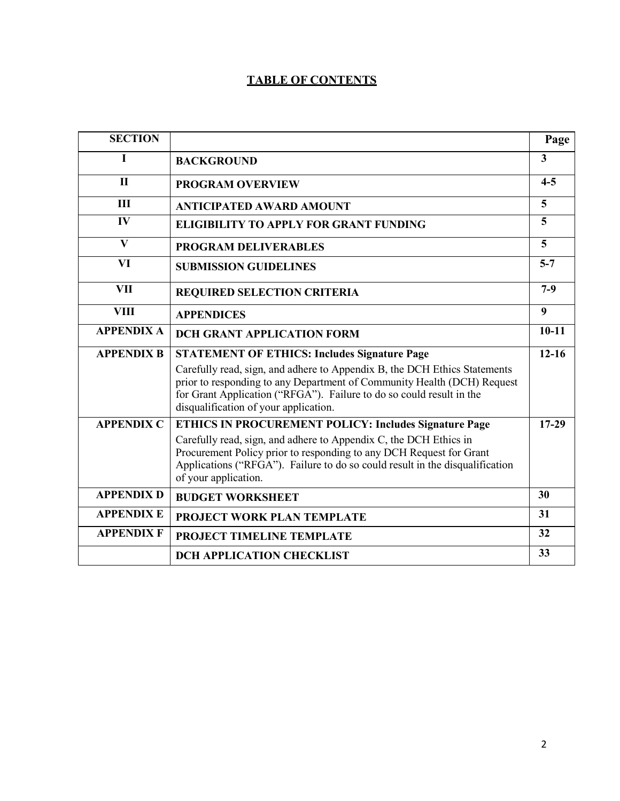## **TABLE OF CONTENTS**

| <b>SECTION</b>    |                                                                                                                                                                                                                                                                       | Page                    |
|-------------------|-----------------------------------------------------------------------------------------------------------------------------------------------------------------------------------------------------------------------------------------------------------------------|-------------------------|
| Ī                 | <b>BACKGROUND</b>                                                                                                                                                                                                                                                     | $\overline{\mathbf{3}}$ |
| $\mathbf{I}$      | <b>PROGRAM OVERVIEW</b>                                                                                                                                                                                                                                               | $4 - 5$                 |
| III               | <b>ANTICIPATED AWARD AMOUNT</b>                                                                                                                                                                                                                                       | 5                       |
| IV                | <b>ELIGIBILITY TO APPLY FOR GRANT FUNDING</b>                                                                                                                                                                                                                         | 5                       |
| $\mathbf{V}$      | <b>PROGRAM DELIVERABLES</b>                                                                                                                                                                                                                                           | 5                       |
| VI                | <b>SUBMISSION GUIDELINES</b>                                                                                                                                                                                                                                          | $5 - 7$                 |
| <b>VII</b>        | <b>REQUIRED SELECTION CRITERIA</b>                                                                                                                                                                                                                                    | $7-9$                   |
| <b>VIII</b>       | <b>APPENDICES</b>                                                                                                                                                                                                                                                     | 9                       |
| <b>APPENDIX A</b> | <b>DCH GRANT APPLICATION FORM</b>                                                                                                                                                                                                                                     | $10 - 11$               |
| <b>APPENDIX B</b> | <b>STATEMENT OF ETHICS: Includes Signature Page</b>                                                                                                                                                                                                                   | $12 - 16$               |
|                   | Carefully read, sign, and adhere to Appendix B, the DCH Ethics Statements<br>prior to responding to any Department of Community Health (DCH) Request<br>for Grant Application ("RFGA"). Failure to do so could result in the<br>disqualification of your application. |                         |
| <b>APPENDIX C</b> | <b>ETHICS IN PROCUREMENT POLICY: Includes Signature Page</b>                                                                                                                                                                                                          | $17-29$                 |
|                   | Carefully read, sign, and adhere to Appendix C, the DCH Ethics in<br>Procurement Policy prior to responding to any DCH Request for Grant<br>Applications ("RFGA"). Failure to do so could result in the disqualification<br>of your application.                      |                         |
| <b>APPENDIX D</b> | <b>BUDGET WORKSHEET</b>                                                                                                                                                                                                                                               | 30                      |
| <b>APPENDIX E</b> | PROJECT WORK PLAN TEMPLATE                                                                                                                                                                                                                                            | 31                      |
| <b>APPENDIX F</b> | PROJECT TIMELINE TEMPLATE                                                                                                                                                                                                                                             | 32                      |
|                   | <b>DCH APPLICATION CHECKLIST</b>                                                                                                                                                                                                                                      | 33                      |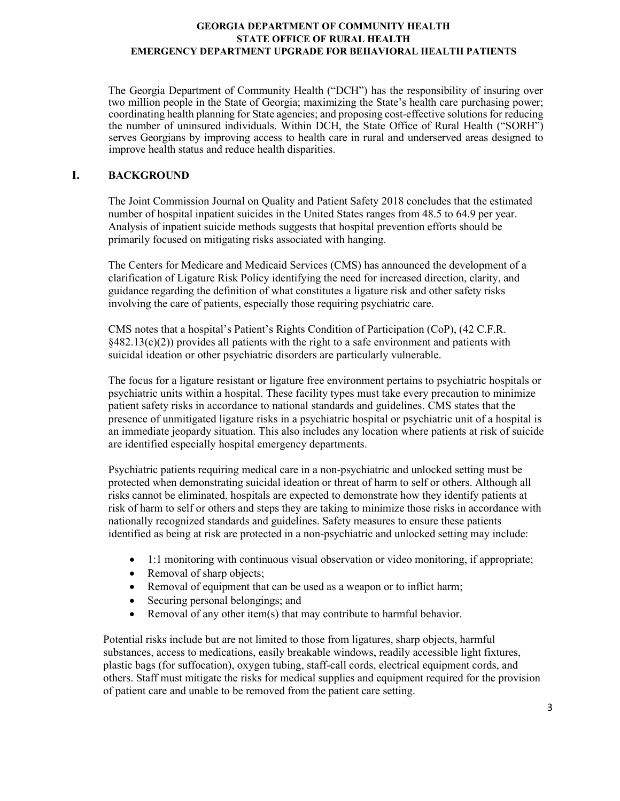The Georgia Department of Community Health ("DCH") has the responsibility of insuring over two million people in the State of Georgia; maximizing the State's health care purchasing power; coordinating health planning for State agencies; and proposing cost-effective solutions for reducing the number of uninsured individuals. Within DCH, the State Office of Rural Health ("SORH") serves Georgians by improving access to health care in rural and underserved areas designed to improve health status and reduce health disparities.

### **I. BACKGROUND**

The Joint Commission Journal on Quality and Patient Safety 2018 concludes that the estimated number of hospital inpatient suicides in the United States ranges from 48.5 to 64.9 per year. Analysis of inpatient suicide methods suggests that hospital prevention efforts should be primarily focused on mitigating risks associated with hanging.

The Centers for Medicare and Medicaid Services (CMS) has announced the development of a clarification of Ligature Risk Policy identifying the need for increased direction, clarity, and guidance regarding the definition of what constitutes a ligature risk and other safety risks involving the care of patients, especially those requiring psychiatric care.

CMS notes that a hospital's Patient's Rights Condition of Participation (CoP), (42 C.F.R.  $§482.13(c)(2))$  provides all patients with the right to a safe environment and patients with suicidal ideation or other psychiatric disorders are particularly vulnerable.

The focus for a ligature resistant or ligature free environment pertains to psychiatric hospitals or psychiatric units within a hospital. These facility types must take every precaution to minimize patient safety risks in accordance to national standards and guidelines. CMS states that the presence of unmitigated ligature risks in a psychiatric hospital or psychiatric unit of a hospital is an immediate jeopardy situation. This also includes any location where patients at risk of suicide are identified especially hospital emergency departments.

Psychiatric patients requiring medical care in a non-psychiatric and unlocked setting must be protected when demonstrating suicidal ideation or threat of harm to self or others. Although all risks cannot be eliminated, hospitals are expected to demonstrate how they identify patients at risk of harm to self or others and steps they are taking to minimize those risks in accordance with nationally recognized standards and guidelines. Safety measures to ensure these patients identified as being at risk are protected in a non-psychiatric and unlocked setting may include:

- 1:1 monitoring with continuous visual observation or video monitoring, if appropriate;
- Removal of sharp objects;
- Removal of equipment that can be used as a weapon or to inflict harm;
- Securing personal belongings; and
- Removal of any other item(s) that may contribute to harmful behavior.

Potential risks include but are not limited to those from ligatures, sharp objects, harmful substances, access to medications, easily breakable windows, readily accessible light fixtures, plastic bags (for suffocation), oxygen tubing, staff-call cords, electrical equipment cords, and others. Staff must mitigate the risks for medical supplies and equipment required for the provision of patient care and unable to be removed from the patient care setting.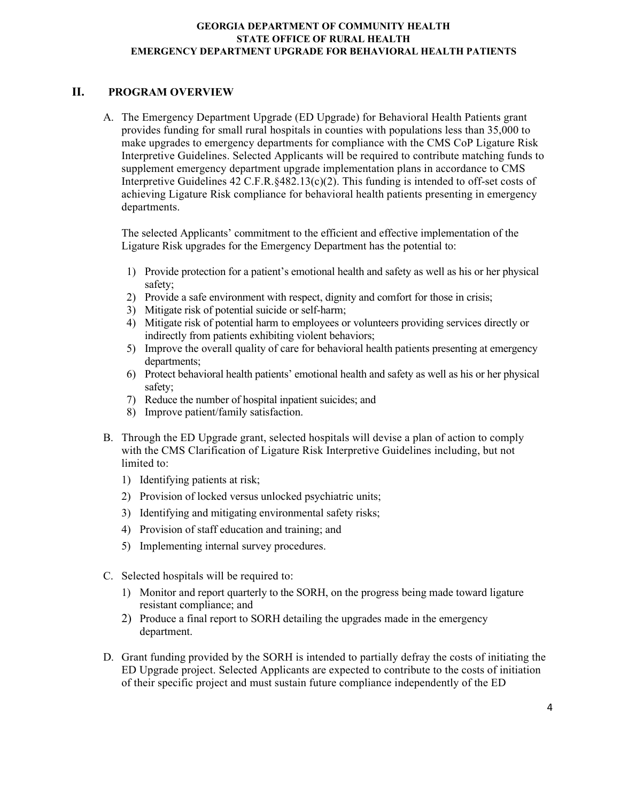### **II. PROGRAM OVERVIEW**

A. The Emergency Department Upgrade (ED Upgrade) for Behavioral Health Patients grant provides funding for small rural hospitals in counties with populations less than 35,000 to make upgrades to emergency departments for compliance with the CMS CoP Ligature Risk Interpretive Guidelines. Selected Applicants will be required to contribute matching funds to supplement emergency department upgrade implementation plans in accordance to CMS Interpretive Guidelines 42 C.F.R.§482.13(c)(2). This funding is intended to off-set costs of achieving Ligature Risk compliance for behavioral health patients presenting in emergency departments.

The selected Applicants' commitment to the efficient and effective implementation of the Ligature Risk upgrades for the Emergency Department has the potential to:

- 1) Provide protection for a patient's emotional health and safety as well as his or her physical safety;
- 2) Provide a safe environment with respect, dignity and comfort for those in crisis;
- 3) Mitigate risk of potential suicide or self-harm;
- 4) Mitigate risk of potential harm to employees or volunteers providing services directly or indirectly from patients exhibiting violent behaviors;
- 5) Improve the overall quality of care for behavioral health patients presenting at emergency departments;
- 6) Protect behavioral health patients' emotional health and safety as well as his or her physical safety;
- 7) Reduce the number of hospital inpatient suicides; and
- 8) Improve patient/family satisfaction.
- B. Through the ED Upgrade grant, selected hospitals will devise a plan of action to comply with the CMS Clarification of Ligature Risk Interpretive Guidelines including, but not limited to:
	- 1) Identifying patients at risk;
	- 2) Provision of locked versus unlocked psychiatric units;
	- 3) Identifying and mitigating environmental safety risks;
	- 4) Provision of staff education and training; and
	- 5) Implementing internal survey procedures.
- C. Selected hospitals will be required to:
	- 1) Monitor and report quarterly to the SORH, on the progress being made toward ligature resistant compliance; and
	- 2) Produce a final report to SORH detailing the upgrades made in the emergency department.
- D. Grant funding provided by the SORH is intended to partially defray the costs of initiating the ED Upgrade project. Selected Applicants are expected to contribute to the costs of initiation of their specific project and must sustain future compliance independently of the ED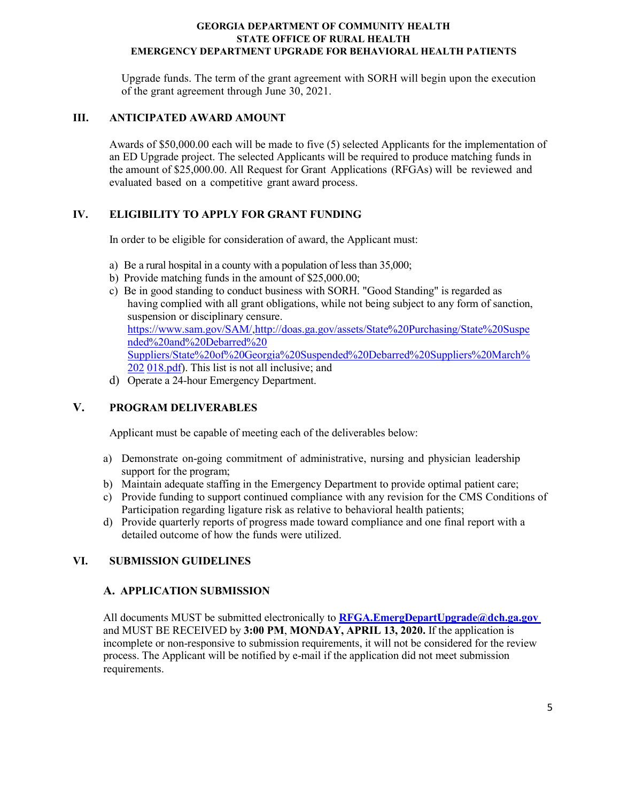Upgrade funds. The term of the grant agreement with SORH will begin upon the execution of the grant agreement through June 30, 2021.

### **III. ANTICIPATED AWARD AMOUNT**

Awards of \$50,000.00 each will be made to five (5) selected Applicants for the implementation of an ED Upgrade project. The selected Applicants will be required to produce matching funds in the amount of \$25,000.00. All Request for Grant Applications (RFGAs) will be reviewed and evaluated based on a competitive grant award process.

### **IV. ELIGIBILITY TO APPLY FOR GRANT FUNDING**

In order to be eligible for consideration of award, the Applicant must:

- a) Be a rural hospital in a county with a population of less than 35,000;
- b) Provide matching funds in the amount of \$25,000.00;
- c) Be in good standing to conduct business with SORH. "Good Standing" is regarded as having complied with all grant obligations, while not being subject to any form of sanction, suspension or disciplinary censure. [https://www.sam.gov/SAM/,](https://www.sam.gov/SAM/)[http://doas.ga.gov/assets/State%20Purchasing/State%20Suspe](http://doas.ga.gov/assets/State%20Purchasing/State%20Suspended%20and%20Debarred%20Suppliers/State%20of%20Georgia%20Suspended%20Debarred%20Suppliers%20March%202018.pdf) [nded%20and%20Debarred%20](http://doas.ga.gov/assets/State%20Purchasing/State%20Suspended%20and%20Debarred%20Suppliers/State%20of%20Georgia%20Suspended%20Debarred%20Suppliers%20March%202018.pdf) [Suppliers/State%20of%20Georgia%20Suspended%20Debarred%20Suppliers%20March%](http://doas.ga.gov/assets/State%20Purchasing/State%20Suspended%20and%20Debarred%20Suppliers/State%20of%20Georgia%20Suspended%20Debarred%20Suppliers%20March%202018.pdf) [202](http://doas.ga.gov/assets/State%20Purchasing/State%20Suspended%20and%20Debarred%20Suppliers/State%20of%20Georgia%20Suspended%20Debarred%20Suppliers%20March%202018.pdf) [018.pdf\)](http://doas.ga.gov/assets/State%20Purchasing/State%20Suspended%20and%20Debarred%20Suppliers/State%20of%20Georgia%20Suspended%20Debarred%20Suppliers%20March%202018.pdf). This list is not all inclusive; and
- d) Operate a 24-hour Emergency Department.

### **V. PROGRAM DELIVERABLES**

Applicant must be capable of meeting each of the deliverables below:

- a) Demonstrate on-going commitment of administrative, nursing and physician leadership support for the program;
- b) Maintain adequate staffing in the Emergency Department to provide optimal patient care;
- c) Provide funding to support continued compliance with any revision for the CMS Conditions of Participation regarding ligature risk as relative to behavioral health patients;
- d) Provide quarterly reports of progress made toward compliance and one final report with a detailed outcome of how the funds were utilized.

### **VI. SUBMISSION GUIDELINES**

### **A. APPLICATION SUBMISSION**

All documents MUST be submitted electronically to **[RFGA.EmergDepartUpgrade@dch.ga.gov](mailto:RFGA.EmergDepartUpgrade@dch.ga.gov)** and MUST BE RECEIVED by **3:00 PM**, **MONDAY, APRIL 13, 2020.** If the application is incomplete or non-responsive to submission requirements, it will not be considered for the review process. The Applicant will be notified by e-mail if the application did not meet submission requirements.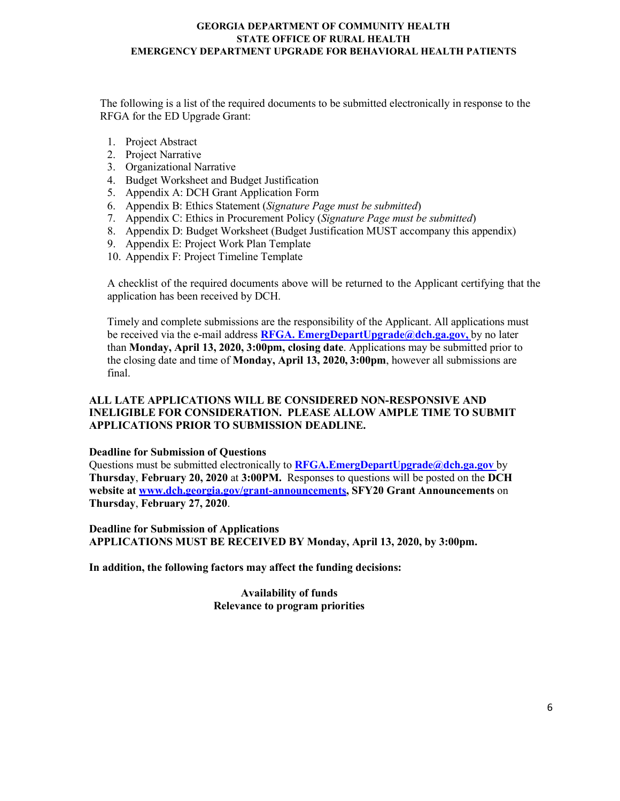The following is a list of the required documents to be submitted electronically in response to the RFGA for the ED Upgrade Grant:

- 1. Project Abstract
- 2. Project Narrative
- 3. Organizational Narrative
- 4. Budget Worksheet and Budget Justification
- 5. Appendix A: DCH Grant Application Form
- 6. Appendix B: Ethics Statement (*Signature Page must be submitted*)
- 7. Appendix C: Ethics in Procurement Policy (*Signature Page must be submitted*)
- 8. Appendix D: Budget Worksheet (Budget Justification MUST accompany this appendix)
- 9. Appendix E: Project Work Plan Template
- 10. Appendix F: Project Timeline Template

A checklist of the required documents above will be returned to the Applicant certifying that the application has been received by DCH.

Timely and complete submissions are the responsibility of the Applicant. All applications must be received via the e-mail address **[RFGA. EmergDepartUpgrade@dch.ga.gov,](mailto:RFGA.%20EmergDepartUpgrade@dch.ga.gov,)** by no later than **Monday, April 13, 2020, 3:00pm, closing date**. Applications may be submitted prior to the closing date and time of **Monday, April 13, 2020, 3:00pm**, however all submissions are final.

### **ALL LATE APPLICATIONS WILL BE CONSIDERED NON-RESPONSIVE AND INELIGIBLE FOR CONSIDERATION. PLEASE ALLOW AMPLE TIME TO SUBMIT APPLICATIONS PRIOR TO SUBMISSION DEADLINE.**

#### **Deadline for Submission of Questions**

Questions must be submitted electronically to **[RFGA.EmergDepartUpgrade@dch.ga.gov](mailto:RFGA.EmergDepartUpgrade@dch.ga.gov)** by **Thursday**, **February 20, 2020** at **3:00PM.** Responses to questions will be posted on the **DCH website at [www.dch.georgia.gov/grant-announcements, S](http://www.dch.georgia.gov/grant-announcements)FY20 Grant Announcements** on **Thursday**, **February 27, 2020**.

**Deadline for Submission of Applications APPLICATIONS MUST BE RECEIVED BY Monday, April 13, 2020, by 3:00pm.**

**In addition, the following factors may affect the funding decisions:**

**Availability of funds Relevance to program priorities**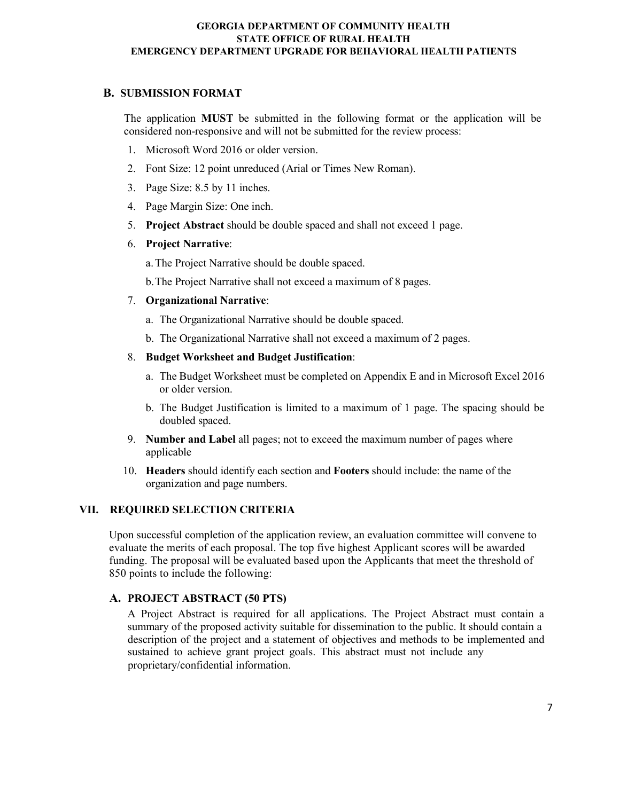### **B. SUBMISSION FORMAT**

The application **MUST** be submitted in the following format or the application will be considered non-responsive and will not be submitted for the review process:

- 1. Microsoft Word 2016 or older version.
- 2. Font Size: 12 point unreduced (Arial or Times New Roman).
- 3. Page Size: 8.5 by 11 inches.
- 4. Page Margin Size: One inch.
- 5. **Project Abstract** should be double spaced and shall not exceed 1 page.
- 6. **Project Narrative**:

a.The Project Narrative should be double spaced.

b.The Project Narrative shall not exceed a maximum of 8 pages.

#### 7. **Organizational Narrative**:

- a. The Organizational Narrative should be double spaced.
- b. The Organizational Narrative shall not exceed a maximum of 2 pages.

#### 8. **Budget Worksheet and Budget Justification**:

- a. The Budget Worksheet must be completed on Appendix E and in Microsoft Excel 2016 or older version.
- b. The Budget Justification is limited to a maximum of 1 page. The spacing should be doubled spaced.
- 9. **Number and Label** all pages; not to exceed the maximum number of pages where applicable
- 10. **Headers** should identify each section and **Footers** should include: the name of the organization and page numbers.

### **VII. REQUIRED SELECTION CRITERIA**

Upon successful completion of the application review, an evaluation committee will convene to evaluate the merits of each proposal. The top five highest Applicant scores will be awarded funding. The proposal will be evaluated based upon the Applicants that meet the threshold of 850 points to include the following:

### **A. PROJECT ABSTRACT (50 PTS)**

A Project Abstract is required for all applications. The Project Abstract must contain a summary of the proposed activity suitable for dissemination to the public. It should contain a description of the project and a statement of objectives and methods to be implemented and sustained to achieve grant project goals. This abstract must not include any proprietary/confidential information.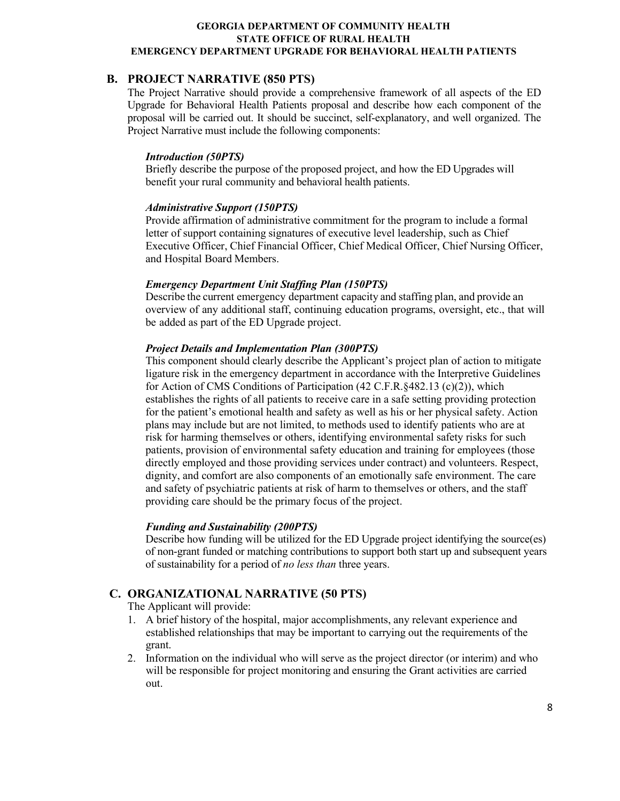### **B. PROJECT NARRATIVE (850 PTS)**

The Project Narrative should provide a comprehensive framework of all aspects of the ED Upgrade for Behavioral Health Patients proposal and describe how each component of the proposal will be carried out. It should be succinct, self-explanatory, and well organized. The Project Narrative must include the following components:

#### *Introduction (50PTS)*

Briefly describe the purpose of the proposed project, and how the ED Upgrades will benefit your rural community and behavioral health patients.

#### *Administrative Support (150PTS)*

Provide affirmation of administrative commitment for the program to include a formal letter of support containing signatures of executive level leadership, such as Chief Executive Officer, Chief Financial Officer, Chief Medical Officer, Chief Nursing Officer, and Hospital Board Members.

#### *Emergency Department Unit Staffing Plan (150PTS)*

Describe the current emergency department capacity and staffing plan, and provide an overview of any additional staff, continuing education programs, oversight, etc., that will be added as part of the ED Upgrade project.

#### *Project Details and Implementation Plan (300PTS)*

This component should clearly describe the Applicant's project plan of action to mitigate ligature risk in the emergency department in accordance with the Interpretive Guidelines for Action of CMS Conditions of Participation (42 C.F.R.§482.13 (c)(2)), which establishes the rights of all patients to receive care in a safe setting providing protection for the patient's emotional health and safety as well as his or her physical safety. Action plans may include but are not limited, to methods used to identify patients who are at risk for harming themselves or others, identifying environmental safety risks for such patients, provision of environmental safety education and training for employees (those directly employed and those providing services under contract) and volunteers. Respect, dignity, and comfort are also components of an emotionally safe environment. The care and safety of psychiatric patients at risk of harm to themselves or others, and the staff providing care should be the primary focus of the project.

#### *Funding and Sustainability (200PTS)*

Describe how funding will be utilized for the ED Upgrade project identifying the source (es) of non-grant funded or matching contributions to support both start up and subsequent years of sustainability for a period of *no less than* three years.

### **C. ORGANIZATIONAL NARRATIVE (50 PTS)**

The Applicant will provide:

- 1. A brief history of the hospital, major accomplishments, any relevant experience and established relationships that may be important to carrying out the requirements of the grant.
- 2. Information on the individual who will serve as the project director (or interim) and who will be responsible for project monitoring and ensuring the Grant activities are carried out.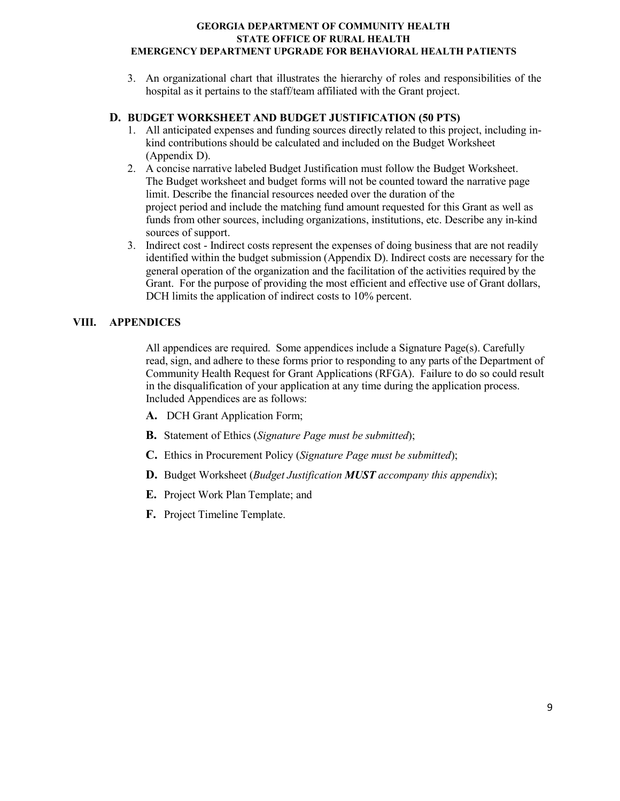3. An organizational chart that illustrates the hierarchy of roles and responsibilities of the hospital as it pertains to the staff/team affiliated with the Grant project.

### **D. BUDGET WORKSHEET AND BUDGET JUSTIFICATION (50 PTS)**

- 1. All anticipated expenses and funding sources directly related to this project, including inkind contributions should be calculated and included on the Budget Worksheet (Appendix D).
- 2. A concise narrative labeled Budget Justification must follow the Budget Worksheet. The Budget worksheet and budget forms will not be counted toward the narrative page limit. Describe the financial resources needed over the duration of the project period and include the matching fund amount requested for this Grant as well as funds from other sources, including organizations, institutions, etc. Describe any in-kind sources of support.
- 3. Indirect cost Indirect costs represent the expenses of doing business that are not readily identified within the budget submission (Appendix D). Indirect costs are necessary for the general operation of the organization and the facilitation of the activities required by the Grant. For the purpose of providing the most efficient and effective use of Grant dollars, DCH limits the application of indirect costs to 10% percent.

### **VIII. APPENDICES**

All appendices are required. Some appendices include a Signature Page(s). Carefully read, sign, and adhere to these forms prior to responding to any parts of the Department of Community Health Request for Grant Applications (RFGA). Failure to do so could result in the disqualification of your application at any time during the application process. Included Appendices are as follows:

- **A.** DCH Grant Application Form;
- **B.** Statement of Ethics (*Signature Page must be submitted*);
- **C.** Ethics in Procurement Policy (*Signature Page must be submitted*);
- **D.** Budget Worksheet (*Budget Justification MUST accompany this appendix*);
- **E.** Project Work Plan Template; and
- **F.** Project Timeline Template.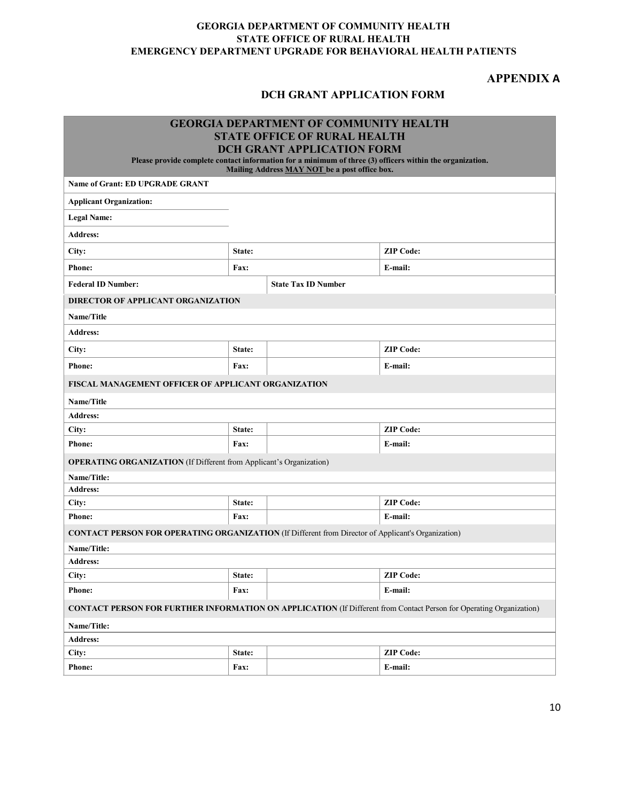### **APPENDIX A**

### **DCH GRANT APPLICATION FORM**

| <b>GEORGIA DEPARTMENT OF COMMUNITY HEALTH</b>                                                                                                             |                 |                                     |                  |  |  |  |  |
|-----------------------------------------------------------------------------------------------------------------------------------------------------------|-----------------|-------------------------------------|------------------|--|--|--|--|
|                                                                                                                                                           |                 | <b>STATE OFFICE OF RURAL HEALTH</b> |                  |  |  |  |  |
| <b>DCH GRANT APPLICATION FORM</b>                                                                                                                         |                 |                                     |                  |  |  |  |  |
| Please provide complete contact information for a minimum of three (3) officers within the organization.<br>Mailing Address MAY NOT be a post office box. |                 |                                     |                  |  |  |  |  |
| <b>Name of Grant: ED UPGRADE GRANT</b>                                                                                                                    |                 |                                     |                  |  |  |  |  |
| <b>Applicant Organization:</b>                                                                                                                            |                 |                                     |                  |  |  |  |  |
| <b>Legal Name:</b>                                                                                                                                        |                 |                                     |                  |  |  |  |  |
| <b>Address:</b>                                                                                                                                           |                 |                                     |                  |  |  |  |  |
| City:                                                                                                                                                     | State:          |                                     | <b>ZIP Code:</b> |  |  |  |  |
| Phone:                                                                                                                                                    | Fax:            |                                     | E-mail:          |  |  |  |  |
| <b>Federal ID Number:</b>                                                                                                                                 |                 | <b>State Tax ID Number</b>          |                  |  |  |  |  |
| DIRECTOR OF APPLICANT ORGANIZATION                                                                                                                        |                 |                                     |                  |  |  |  |  |
| Name/Title                                                                                                                                                |                 |                                     |                  |  |  |  |  |
| <b>Address:</b>                                                                                                                                           |                 |                                     |                  |  |  |  |  |
| City:                                                                                                                                                     | State:          |                                     | <b>ZIP Code:</b> |  |  |  |  |
| <b>Phone:</b>                                                                                                                                             | E-mail:<br>Fax: |                                     |                  |  |  |  |  |
| <b>FISCAL MANAGEMENT OFFICER OF APPLICANT ORGANIZATION</b>                                                                                                |                 |                                     |                  |  |  |  |  |
| Name/Title                                                                                                                                                |                 |                                     |                  |  |  |  |  |
| <b>Address:</b>                                                                                                                                           |                 |                                     |                  |  |  |  |  |
| City:                                                                                                                                                     | State:          |                                     | <b>ZIP Code:</b> |  |  |  |  |
| <b>Phone:</b>                                                                                                                                             | Fax:            |                                     | E-mail:          |  |  |  |  |
| <b>OPERATING ORGANIZATION</b> (If Different from Applicant's Organization)                                                                                |                 |                                     |                  |  |  |  |  |
| Name/Title:                                                                                                                                               |                 |                                     |                  |  |  |  |  |
| <b>Address:</b>                                                                                                                                           |                 |                                     |                  |  |  |  |  |
| City:                                                                                                                                                     | State:          |                                     | <b>ZIP Code:</b> |  |  |  |  |
| E-mail:<br><b>Phone:</b><br>Fax:                                                                                                                          |                 |                                     |                  |  |  |  |  |
| <b>CONTACT PERSON FOR OPERATING ORGANIZATION (If Different from Director of Applicant's Organization)</b>                                                 |                 |                                     |                  |  |  |  |  |
| Name/Title:                                                                                                                                               |                 |                                     |                  |  |  |  |  |
| <b>Address:</b>                                                                                                                                           |                 |                                     |                  |  |  |  |  |
| City:                                                                                                                                                     | State:          |                                     | <b>ZIP</b> Code: |  |  |  |  |
| <b>Phone:</b>                                                                                                                                             | Fax:<br>E-mail: |                                     |                  |  |  |  |  |
| <b>CONTACT PERSON FOR FURTHER INFORMATION ON APPLICATION (If Different from Contact Person for Operating Organization)</b>                                |                 |                                     |                  |  |  |  |  |
| Name/Title:                                                                                                                                               |                 |                                     |                  |  |  |  |  |
| <b>Address:</b>                                                                                                                                           |                 |                                     |                  |  |  |  |  |
| <b>ZIP Code:</b><br>City:<br>State:                                                                                                                       |                 |                                     |                  |  |  |  |  |
| <b>Phone:</b>                                                                                                                                             | Fax:            |                                     | E-mail:          |  |  |  |  |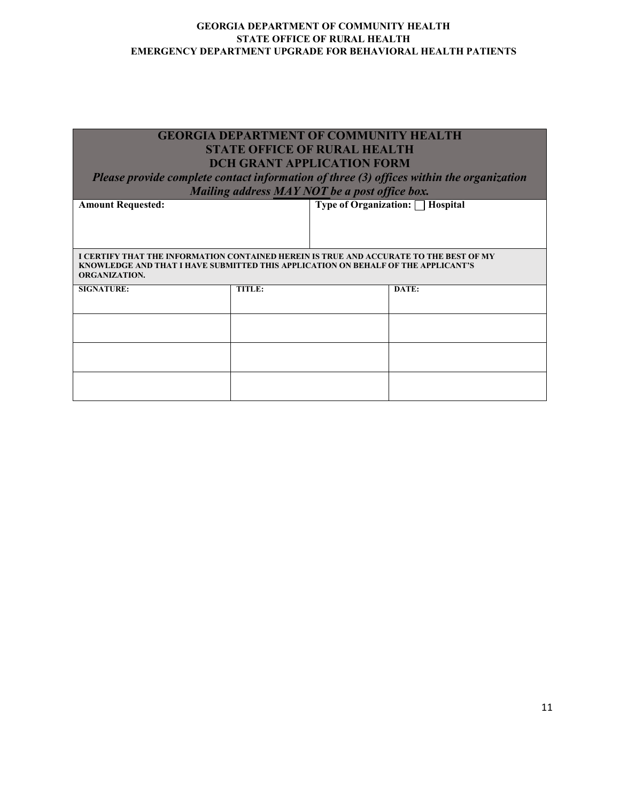| <b>GEORGIA DEPARTMENT OF COMMUNITY HEALTH</b><br><b>STATE OFFICE OF RURAL HEALTH</b><br><b>DCH GRANT APPLICATION FORM</b><br>Please provide complete contact information of three (3) offices within the organization<br>Mailing address MAY NOT be a post office box. |        |       |  |  |  |  |  |
|------------------------------------------------------------------------------------------------------------------------------------------------------------------------------------------------------------------------------------------------------------------------|--------|-------|--|--|--|--|--|
| <b>Type of Organization:</b> $\Box$ <b>Hospital</b><br><b>Amount Requested:</b>                                                                                                                                                                                        |        |       |  |  |  |  |  |
| I CERTIFY THAT THE INFORMATION CONTAINED HEREIN IS TRUE AND ACCURATE TO THE BEST OF MY<br>KNOWLEDGE AND THAT I HAVE SUBMITTED THIS APPLICATION ON BEHALF OF THE APPLICANT'S<br><b>ORGANIZATION.</b>                                                                    |        |       |  |  |  |  |  |
| <b>SIGNATURE:</b>                                                                                                                                                                                                                                                      | TITLE: | DATE: |  |  |  |  |  |
|                                                                                                                                                                                                                                                                        |        |       |  |  |  |  |  |
|                                                                                                                                                                                                                                                                        |        |       |  |  |  |  |  |
|                                                                                                                                                                                                                                                                        |        |       |  |  |  |  |  |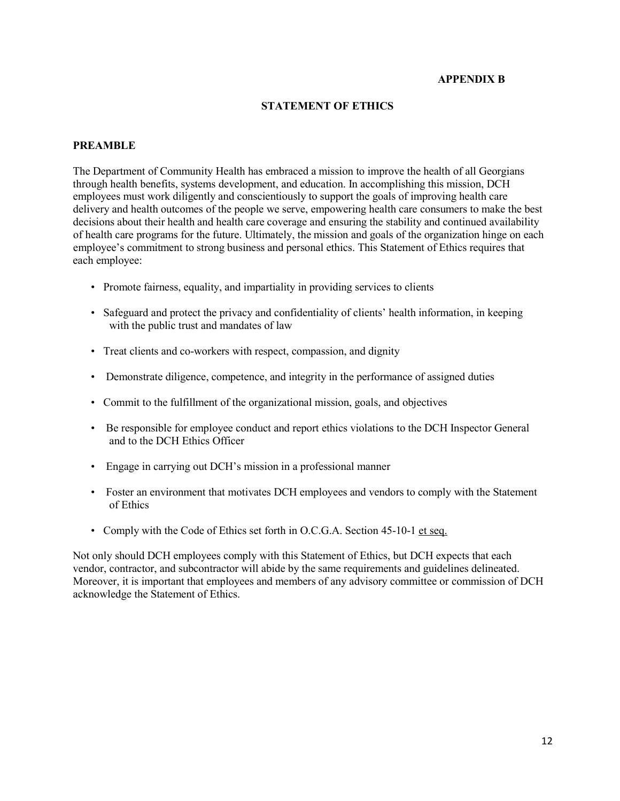### **APPENDIX B**

### **STATEMENT OF ETHICS**

#### **PREAMBLE**

The Department of Community Health has embraced a mission to improve the health of all Georgians through health benefits, systems development, and education. In accomplishing this mission, DCH employees must work diligently and conscientiously to support the goals of improving health care delivery and health outcomes of the people we serve, empowering health care consumers to make the best decisions about their health and health care coverage and ensuring the stability and continued availability of health care programs for the future. Ultimately, the mission and goals of the organization hinge on each employee's commitment to strong business and personal ethics. This Statement of Ethics requires that each employee:

- Promote fairness, equality, and impartiality in providing services to clients
- Safeguard and protect the privacy and confidentiality of clients' health information, in keeping with the public trust and mandates of law
- Treat clients and co-workers with respect, compassion, and dignity
- Demonstrate diligence, competence, and integrity in the performance of assigned duties
- Commit to the fulfillment of the organizational mission, goals, and objectives
- Be responsible for employee conduct and report ethics violations to the DCH Inspector General and to the DCH Ethics Officer
- Engage in carrying out DCH's mission in a professional manner
- Foster an environment that motivates DCH employees and vendors to comply with the Statement of Ethics
- Comply with the Code of Ethics set forth in O.C.G.A. Section 45-10-1 et seq.

Not only should DCH employees comply with this Statement of Ethics, but DCH expects that each vendor, contractor, and subcontractor will abide by the same requirements and guidelines delineated. Moreover, it is important that employees and members of any advisory committee or commission of DCH acknowledge the Statement of Ethics.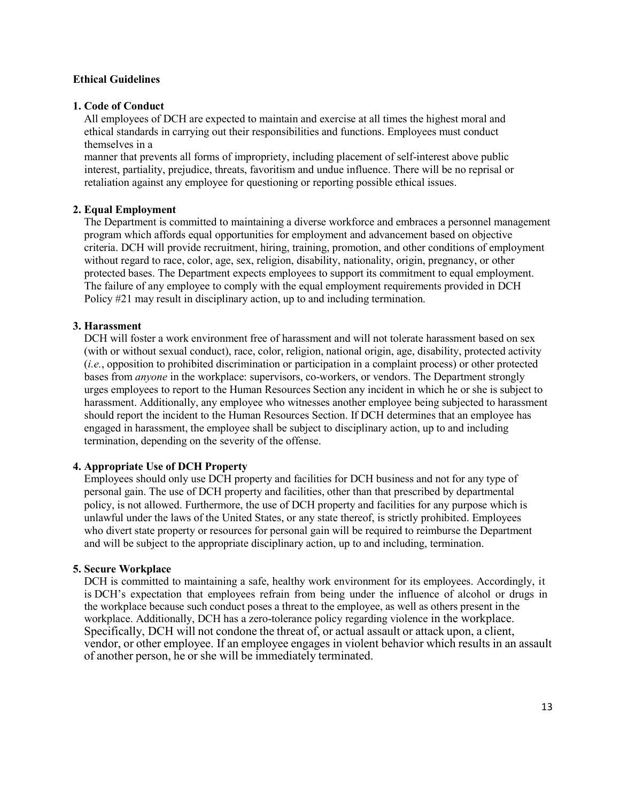#### **Ethical Guidelines**

#### **1. Code of Conduct**

All employees of DCH are expected to maintain and exercise at all times the highest moral and ethical standards in carrying out their responsibilities and functions. Employees must conduct themselves in a

manner that prevents all forms of impropriety, including placement of self-interest above public interest, partiality, prejudice, threats, favoritism and undue influence. There will be no reprisal or retaliation against any employee for questioning or reporting possible ethical issues.

#### **2. Equal Employment**

The Department is committed to maintaining a diverse workforce and embraces a personnel management program which affords equal opportunities for employment and advancement based on objective criteria. DCH will provide recruitment, hiring, training, promotion, and other conditions of employment without regard to race, color, age, sex, religion, disability, nationality, origin, pregnancy, or other protected bases. The Department expects employees to support its commitment to equal employment. The failure of any employee to comply with the equal employment requirements provided in DCH Policy #21 may result in disciplinary action, up to and including termination.

### **3. Harassment**

DCH will foster a work environment free of harassment and will not tolerate harassment based on sex (with or without sexual conduct), race, color, religion, national origin, age, disability, protected activity (*i.e.*, opposition to prohibited discrimination or participation in a complaint process) or other protected bases from *anyone* in the workplace: supervisors, co-workers, or vendors. The Department strongly urges employees to report to the Human Resources Section any incident in which he or she is subject to harassment. Additionally, any employee who witnesses another employee being subjected to harassment should report the incident to the Human Resources Section. If DCH determines that an employee has engaged in harassment, the employee shall be subject to disciplinary action, up to and including termination, depending on the severity of the offense.

### **4. Appropriate Use of DCH Property**

Employees should only use DCH property and facilities for DCH business and not for any type of personal gain. The use of DCH property and facilities, other than that prescribed by departmental policy, is not allowed. Furthermore, the use of DCH property and facilities for any purpose which is unlawful under the laws of the United States, or any state thereof, is strictly prohibited. Employees who divert state property or resources for personal gain will be required to reimburse the Department and will be subject to the appropriate disciplinary action, up to and including, termination.

### **5. Secure Workplace**

DCH is committed to maintaining a safe, healthy work environment for its employees. Accordingly, it is DCH's expectation that employees refrain from being under the influence of alcohol or drugs in the workplace because such conduct poses a threat to the employee, as well as others present in the workplace. Additionally, DCH has a zero-tolerance policy regarding violence in the workplace. Specifically, DCH will not condone the threat of, or actual assault or attack upon, a client, vendor, or other employee. If an employee engages in violent behavior which results in an assault of another person, he or she will be immediately terminated.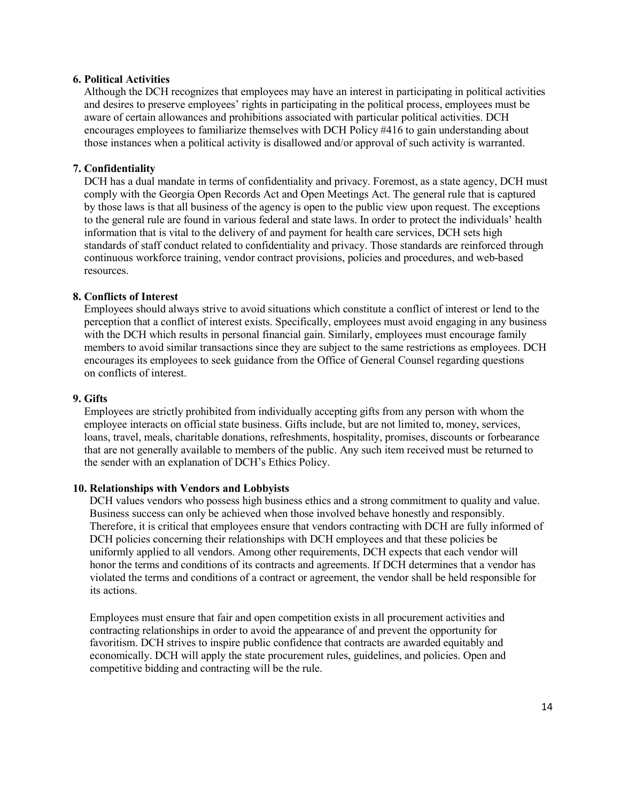#### **6. Political Activities**

Although the DCH recognizes that employees may have an interest in participating in political activities and desires to preserve employees' rights in participating in the political process, employees must be aware of certain allowances and prohibitions associated with particular political activities. DCH encourages employees to familiarize themselves with DCH Policy #416 to gain understanding about those instances when a political activity is disallowed and/or approval of such activity is warranted.

### **7. Confidentiality**

DCH has a dual mandate in terms of confidentiality and privacy. Foremost, as a state agency, DCH must comply with the Georgia Open Records Act and Open Meetings Act. The general rule that is captured by those laws is that all business of the agency is open to the public view upon request. The exceptions to the general rule are found in various federal and state laws. In order to protect the individuals' health information that is vital to the delivery of and payment for health care services, DCH sets high standards of staff conduct related to confidentiality and privacy. Those standards are reinforced through continuous workforce training, vendor contract provisions, policies and procedures, and web-based resources.

#### **8. Conflicts of Interest**

Employees should always strive to avoid situations which constitute a conflict of interest or lend to the perception that a conflict of interest exists. Specifically, employees must avoid engaging in any business with the DCH which results in personal financial gain. Similarly, employees must encourage family members to avoid similar transactions since they are subject to the same restrictions as employees. DCH encourages its employees to seek guidance from the Office of General Counsel regarding questions on conflicts of interest.

#### **9. Gifts**

Employees are strictly prohibited from individually accepting gifts from any person with whom the employee interacts on official state business. Gifts include, but are not limited to, money, services, loans, travel, meals, charitable donations, refreshments, hospitality, promises, discounts or forbearance that are not generally available to members of the public. Any such item received must be returned to the sender with an explanation of DCH's Ethics Policy.

#### **10. Relationships with Vendors and Lobbyists**

DCH values vendors who possess high business ethics and a strong commitment to quality and value. Business success can only be achieved when those involved behave honestly and responsibly. Therefore, it is critical that employees ensure that vendors contracting with DCH are fully informed of DCH policies concerning their relationships with DCH employees and that these policies be uniformly applied to all vendors. Among other requirements, DCH expects that each vendor will honor the terms and conditions of its contracts and agreements. If DCH determines that a vendor has violated the terms and conditions of a contract or agreement, the vendor shall be held responsible for its actions.

Employees must ensure that fair and open competition exists in all procurement activities and contracting relationships in order to avoid the appearance of and prevent the opportunity for favoritism. DCH strives to inspire public confidence that contracts are awarded equitably and economically. DCH will apply the state procurement rules, guidelines, and policies. Open and competitive bidding and contracting will be the rule.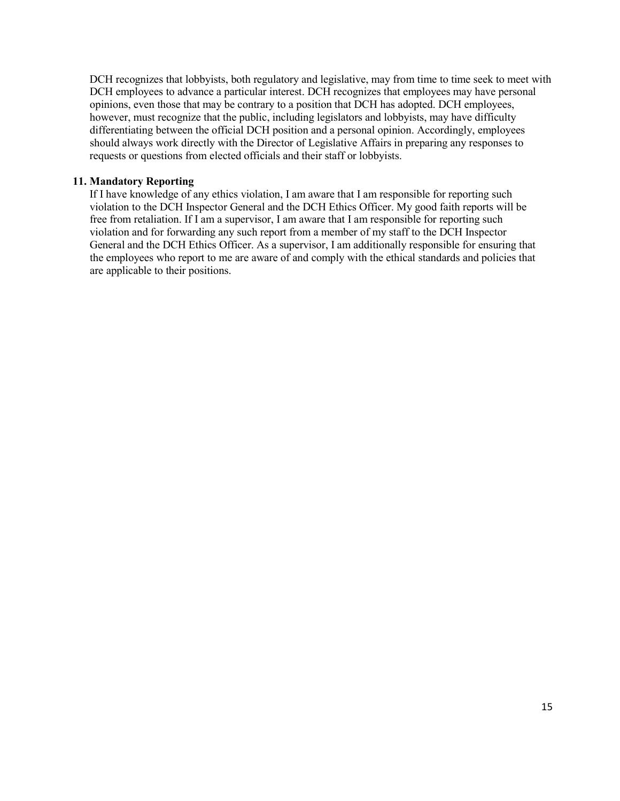DCH recognizes that lobbyists, both regulatory and legislative, may from time to time seek to meet with DCH employees to advance a particular interest. DCH recognizes that employees may have personal opinions, even those that may be contrary to a position that DCH has adopted. DCH employees, however, must recognize that the public, including legislators and lobbyists, may have difficulty differentiating between the official DCH position and a personal opinion. Accordingly, employees should always work directly with the Director of Legislative Affairs in preparing any responses to requests or questions from elected officials and their staff or lobbyists.

### **11. Mandatory Reporting**

If I have knowledge of any ethics violation, I am aware that I am responsible for reporting such violation to the DCH Inspector General and the DCH Ethics Officer. My good faith reports will be free from retaliation. If I am a supervisor, I am aware that I am responsible for reporting such violation and for forwarding any such report from a member of my staff to the DCH Inspector General and the DCH Ethics Officer. As a supervisor, I am additionally responsible for ensuring that the employees who report to me are aware of and comply with the ethical standards and policies that are applicable to their positions.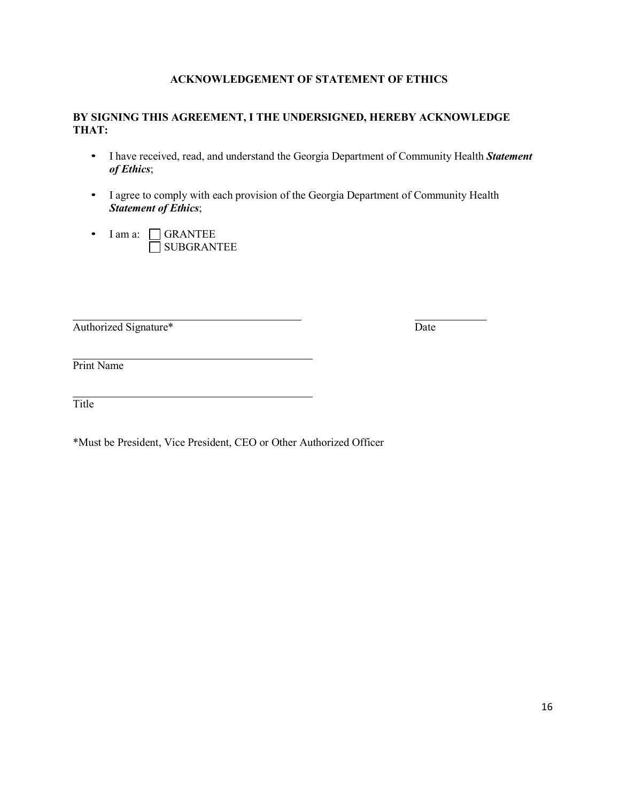### **ACKNOWLEDGEMENT OF STATEMENT OF ETHICS**

### **BY SIGNING THIS AGREEMENT, I THE UNDERSIGNED, HEREBY ACKNOWLEDGE THAT:**

- I have received, read, and understand the Georgia Department of Community Health *Statement of Ethics*;
- I agree to comply with each provision of the Georgia Department of Community Health *Statement of Ethics*;
- I am a: CGRANTEE SUBGRANTEE

Authorized Signature\* Date

Print Name

**Title** 

\*Must be President, Vice President, CEO or Other Authorized Officer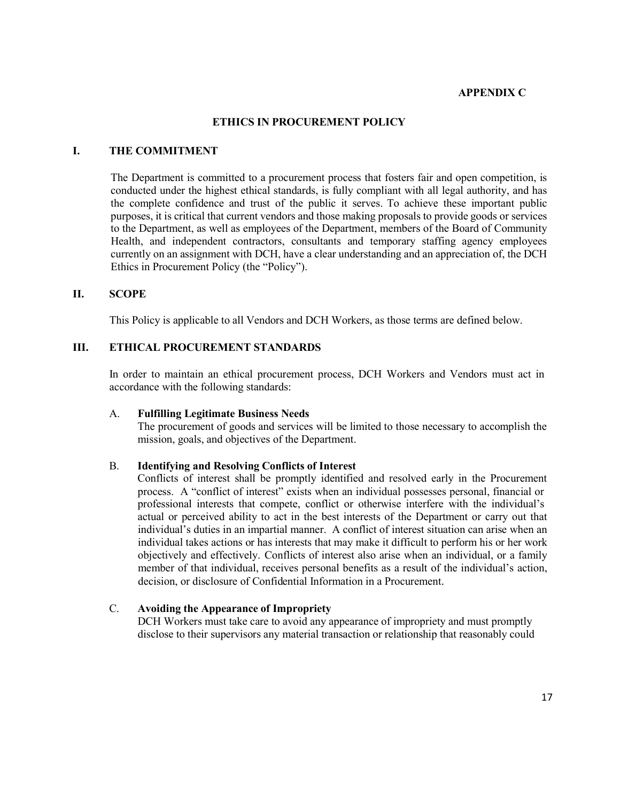#### **APPENDIX C**

#### **ETHICS IN PROCUREMENT POLICY**

#### **I. THE COMMITMENT**

The Department is committed to a procurement process that fosters fair and open competition, is conducted under the highest ethical standards, is fully compliant with all legal authority, and has the complete confidence and trust of the public it serves. To achieve these important public purposes, it is critical that current vendors and those making proposals to provide goods or services to the Department, as well as employees of the Department, members of the Board of Community Health, and independent contractors, consultants and temporary staffing agency employees currently on an assignment with DCH, have a clear understanding and an appreciation of, the DCH Ethics in Procurement Policy (the "Policy").

#### **II. SCOPE**

This Policy is applicable to all Vendors and DCH Workers, as those terms are defined below.

### **III. ETHICAL PROCUREMENT STANDARDS**

In order to maintain an ethical procurement process, DCH Workers and Vendors must act in accordance with the following standards:

#### A. **Fulfilling Legitimate Business Needs**

The procurement of goods and services will be limited to those necessary to accomplish the mission, goals, and objectives of the Department.

#### B. **Identifying and Resolving Conflicts of Interest**

Conflicts of interest shall be promptly identified and resolved early in the Procurement process. A "conflict of interest" exists when an individual possesses personal, financial or professional interests that compete, conflict or otherwise interfere with the individual's actual or perceived ability to act in the best interests of the Department or carry out that individual's duties in an impartial manner. A conflict of interest situation can arise when an individual takes actions or has interests that may make it difficult to perform his or her work objectively and effectively. Conflicts of interest also arise when an individual, or a family member of that individual, receives personal benefits as a result of the individual's action, decision, or disclosure of Confidential Information in a Procurement.

#### C. **Avoiding the Appearance of Impropriety**

DCH Workers must take care to avoid any appearance of impropriety and must promptly disclose to their supervisors any material transaction or relationship that reasonably could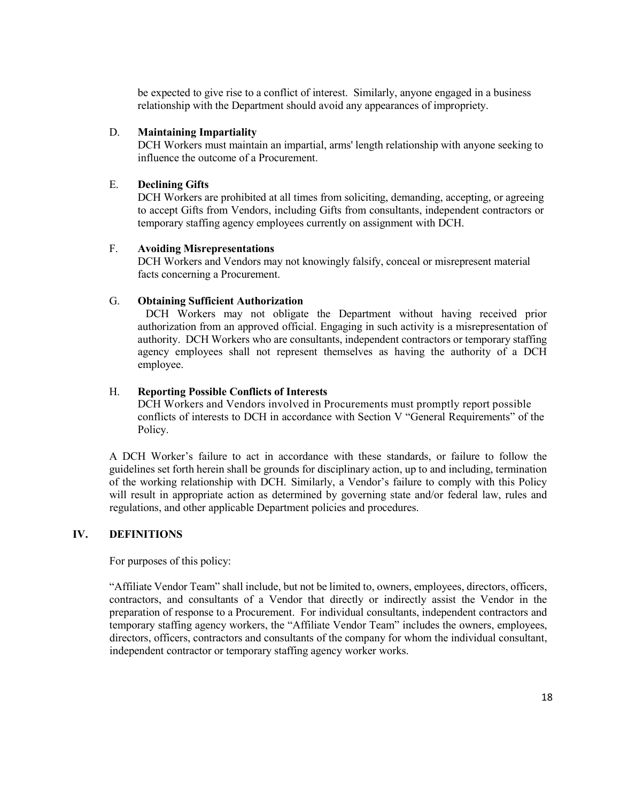be expected to give rise to a conflict of interest. Similarly, anyone engaged in a business relationship with the Department should avoid any appearances of impropriety.

### D. **Maintaining Impartiality**

DCH Workers must maintain an impartial, arms' length relationship with anyone seeking to influence the outcome of a Procurement.

### E. **Declining Gifts**

DCH Workers are prohibited at all times from soliciting, demanding, accepting, or agreeing to accept Gifts from Vendors, including Gifts from consultants, independent contractors or temporary staffing agency employees currently on assignment with DCH.

### F. **Avoiding Misrepresentations**

DCH Workers and Vendors may not knowingly falsify, conceal or misrepresent material facts concerning a Procurement.

### G. **Obtaining Sufficient Authorization**

DCH Workers may not obligate the Department without having received prior authorization from an approved official. Engaging in such activity is a misrepresentation of authority. DCH Workers who are consultants, independent contractors or temporary staffing agency employees shall not represent themselves as having the authority of a DCH employee.

### H. **Reporting Possible Conflicts of Interests**

DCH Workers and Vendors involved in Procurements must promptly report possible conflicts of interests to DCH in accordance with Section V "General Requirements" of the Policy.

A DCH Worker's failure to act in accordance with these standards, or failure to follow the guidelines set forth herein shall be grounds for disciplinary action, up to and including, termination of the working relationship with DCH. Similarly, a Vendor's failure to comply with this Policy will result in appropriate action as determined by governing state and/or federal law, rules and regulations, and other applicable Department policies and procedures.

### **IV. DEFINITIONS**

For purposes of this policy:

"Affiliate Vendor Team" shall include, but not be limited to, owners, employees, directors, officers, contractors, and consultants of a Vendor that directly or indirectly assist the Vendor in the preparation of response to a Procurement. For individual consultants, independent contractors and temporary staffing agency workers, the "Affiliate Vendor Team" includes the owners, employees, directors, officers, contractors and consultants of the company for whom the individual consultant, independent contractor or temporary staffing agency worker works.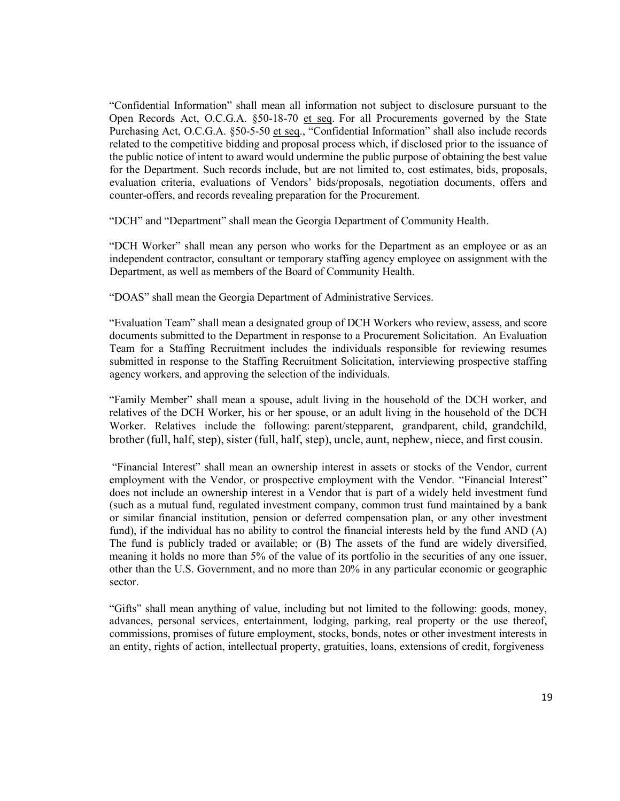"Confidential Information" shall mean all information not subject to disclosure pursuant to the Open Records Act, O.C.G.A. §50-18-70 et seq. For all Procurements governed by the State Purchasing Act, O.C.G.A. §50-5-50 et seq., "Confidential Information" shall also include records related to the competitive bidding and proposal process which, if disclosed prior to the issuance of the public notice of intent to award would undermine the public purpose of obtaining the best value for the Department. Such records include, but are not limited to, cost estimates, bids, proposals, evaluation criteria, evaluations of Vendors' bids/proposals, negotiation documents, offers and counter-offers, and records revealing preparation for the Procurement.

"DCH" and "Department" shall mean the Georgia Department of Community Health.

"DCH Worker" shall mean any person who works for the Department as an employee or as an independent contractor, consultant or temporary staffing agency employee on assignment with the Department, as well as members of the Board of Community Health.

"DOAS" shall mean the Georgia Department of Administrative Services.

"Evaluation Team" shall mean a designated group of DCH Workers who review, assess, and score documents submitted to the Department in response to a Procurement Solicitation. An Evaluation Team for a Staffing Recruitment includes the individuals responsible for reviewing resumes submitted in response to the Staffing Recruitment Solicitation, interviewing prospective staffing agency workers, and approving the selection of the individuals.

"Family Member" shall mean a spouse, adult living in the household of the DCH worker, and relatives of the DCH Worker, his or her spouse, or an adult living in the household of the DCH Worker. Relatives include the following: parent/stepparent, grandparent, child, grandchild, brother (full, half, step), sister (full, half, step), uncle, aunt, nephew, niece, and first cousin.

"Financial Interest" shall mean an ownership interest in assets or stocks of the Vendor, current employment with the Vendor, or prospective employment with the Vendor. "Financial Interest" does not include an ownership interest in a Vendor that is part of a widely held investment fund (such as a mutual fund, regulated investment company, common trust fund maintained by a bank or similar financial institution, pension or deferred compensation plan, or any other investment fund), if the individual has no ability to control the financial interests held by the fund AND (A) The fund is publicly traded or available; or (B) The assets of the fund are widely diversified, meaning it holds no more than 5% of the value of its portfolio in the securities of any one issuer, other than the U.S. Government, and no more than 20% in any particular economic or geographic sector.

"Gifts" shall mean anything of value, including but not limited to the following: goods, money, advances, personal services, entertainment, lodging, parking, real property or the use thereof, commissions, promises of future employment, stocks, bonds, notes or other investment interests in an entity, rights of action, intellectual property, gratuities, loans, extensions of credit, forgiveness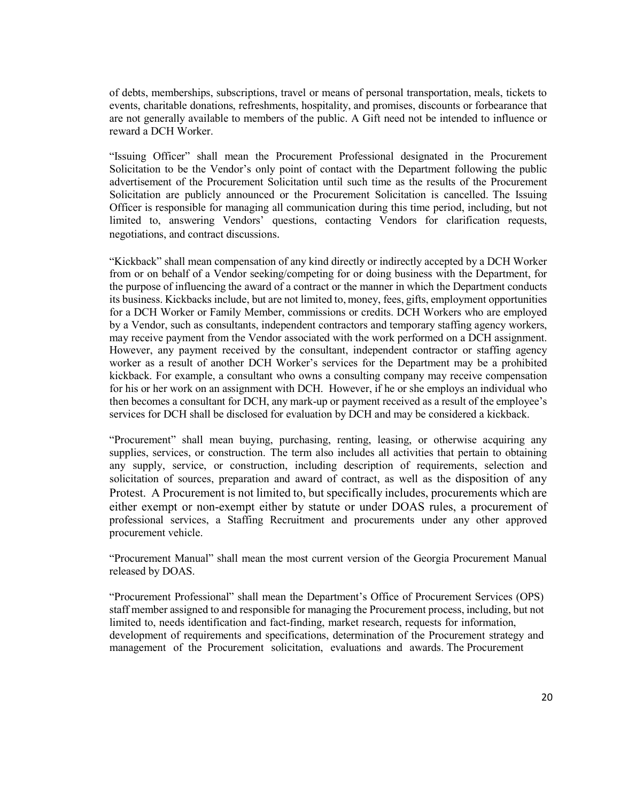of debts, memberships, subscriptions, travel or means of personal transportation, meals, tickets to events, charitable donations, refreshments, hospitality, and promises, discounts or forbearance that are not generally available to members of the public. A Gift need not be intended to influence or reward a DCH Worker.

"Issuing Officer" shall mean the Procurement Professional designated in the Procurement Solicitation to be the Vendor's only point of contact with the Department following the public advertisement of the Procurement Solicitation until such time as the results of the Procurement Solicitation are publicly announced or the Procurement Solicitation is cancelled. The Issuing Officer is responsible for managing all communication during this time period, including, but not limited to, answering Vendors' questions, contacting Vendors for clarification requests, negotiations, and contract discussions.

"Kickback" shall mean compensation of any kind directly or indirectly accepted by a DCH Worker from or on behalf of a Vendor seeking/competing for or doing business with the Department, for the purpose of influencing the award of a contract or the manner in which the Department conducts its business. Kickbacks include, but are not limited to, money, fees, gifts, employment opportunities for a DCH Worker or Family Member, commissions or credits. DCH Workers who are employed by a Vendor, such as consultants, independent contractors and temporary staffing agency workers, may receive payment from the Vendor associated with the work performed on a DCH assignment. However, any payment received by the consultant, independent contractor or staffing agency worker as a result of another DCH Worker's services for the Department may be a prohibited kickback. For example, a consultant who owns a consulting company may receive compensation for his or her work on an assignment with DCH. However, if he or she employs an individual who then becomes a consultant for DCH, any mark-up or payment received as a result of the employee's services for DCH shall be disclosed for evaluation by DCH and may be considered a kickback.

"Procurement" shall mean buying, purchasing, renting, leasing, or otherwise acquiring any supplies, services, or construction. The term also includes all activities that pertain to obtaining any supply, service, or construction, including description of requirements, selection and solicitation of sources, preparation and award of contract, as well as the disposition of any Protest. A Procurement is not limited to, but specifically includes, procurements which are either exempt or non-exempt either by statute or under DOAS rules, a procurement of professional services, a Staffing Recruitment and procurements under any other approved procurement vehicle.

"Procurement Manual" shall mean the most current version of the Georgia Procurement Manual released by DOAS.

"Procurement Professional" shall mean the Department's Office of Procurement Services (OPS) staff member assigned to and responsible for managing the Procurement process, including, but not limited to, needs identification and fact-finding, market research, requests for information, development of requirements and specifications, determination of the Procurement strategy and management of the Procurement solicitation, evaluations and awards. The Procurement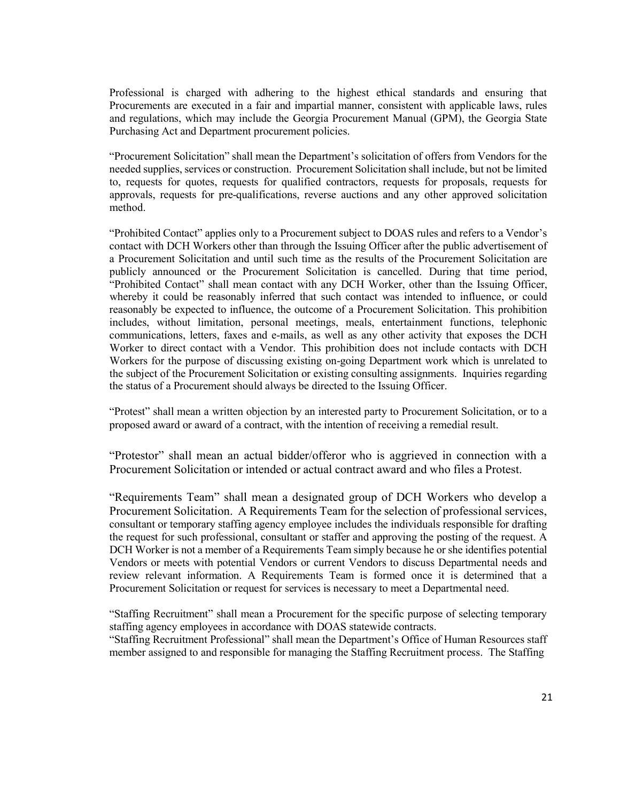Professional is charged with adhering to the highest ethical standards and ensuring that Procurements are executed in a fair and impartial manner, consistent with applicable laws, rules and regulations, which may include the Georgia Procurement Manual (GPM), the Georgia State Purchasing Act and Department procurement policies.

"Procurement Solicitation" shall mean the Department's solicitation of offers from Vendors for the needed supplies, services or construction. Procurement Solicitation shall include, but not be limited to, requests for quotes, requests for qualified contractors, requests for proposals, requests for approvals, requests for pre-qualifications, reverse auctions and any other approved solicitation method.

"Prohibited Contact" applies only to a Procurement subject to DOAS rules and refers to a Vendor's contact with DCH Workers other than through the Issuing Officer after the public advertisement of a Procurement Solicitation and until such time as the results of the Procurement Solicitation are publicly announced or the Procurement Solicitation is cancelled. During that time period, "Prohibited Contact" shall mean contact with any DCH Worker, other than the Issuing Officer, whereby it could be reasonably inferred that such contact was intended to influence, or could reasonably be expected to influence, the outcome of a Procurement Solicitation. This prohibition includes, without limitation, personal meetings, meals, entertainment functions, telephonic communications, letters, faxes and e-mails, as well as any other activity that exposes the DCH Worker to direct contact with a Vendor. This prohibition does not include contacts with DCH Workers for the purpose of discussing existing on-going Department work which is unrelated to the subject of the Procurement Solicitation or existing consulting assignments. Inquiries regarding the status of a Procurement should always be directed to the Issuing Officer.

"Protest" shall mean a written objection by an interested party to Procurement Solicitation, or to a proposed award or award of a contract, with the intention of receiving a remedial result.

"Protestor" shall mean an actual bidder/offeror who is aggrieved in connection with a Procurement Solicitation or intended or actual contract award and who files a Protest.

"Requirements Team" shall mean a designated group of DCH Workers who develop a Procurement Solicitation. A Requirements Team for the selection of professional services, consultant or temporary staffing agency employee includes the individuals responsible for drafting the request for such professional, consultant or staffer and approving the posting of the request. A DCH Worker is not a member of a Requirements Team simply because he or she identifies potential Vendors or meets with potential Vendors or current Vendors to discuss Departmental needs and review relevant information. A Requirements Team is formed once it is determined that a Procurement Solicitation or request for services is necessary to meet a Departmental need.

"Staffing Recruitment" shall mean a Procurement for the specific purpose of selecting temporary staffing agency employees in accordance with DOAS statewide contracts. "Staffing Recruitment Professional" shall mean the Department's Office of Human Resources staff

member assigned to and responsible for managing the Staffing Recruitment process. The Staffing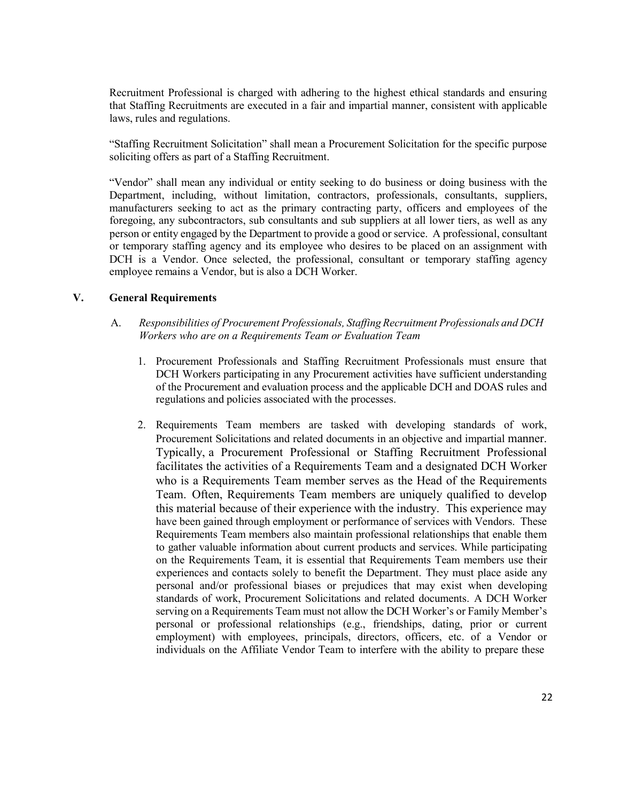Recruitment Professional is charged with adhering to the highest ethical standards and ensuring that Staffing Recruitments are executed in a fair and impartial manner, consistent with applicable laws, rules and regulations.

"Staffing Recruitment Solicitation" shall mean a Procurement Solicitation for the specific purpose soliciting offers as part of a Staffing Recruitment.

"Vendor" shall mean any individual or entity seeking to do business or doing business with the Department, including, without limitation, contractors, professionals, consultants, suppliers, manufacturers seeking to act as the primary contracting party, officers and employees of the foregoing, any subcontractors, sub consultants and sub suppliers at all lower tiers, as well as any person or entity engaged by the Department to provide a good or service. A professional, consultant or temporary staffing agency and its employee who desires to be placed on an assignment with DCH is a Vendor. Once selected, the professional, consultant or temporary staffing agency employee remains a Vendor, but is also a DCH Worker.

#### **V. General Requirements**

- A. *Responsibilities of Procurement Professionals, Staffing Recruitment Professionals and DCH Workers who are on a Requirements Team or Evaluation Team*
	- 1. Procurement Professionals and Staffing Recruitment Professionals must ensure that DCH Workers participating in any Procurement activities have sufficient understanding of the Procurement and evaluation process and the applicable DCH and DOAS rules and regulations and policies associated with the processes.
	- 2. Requirements Team members are tasked with developing standards of work, Procurement Solicitations and related documents in an objective and impartial manner. Typically, a Procurement Professional or Staffing Recruitment Professional facilitates the activities of a Requirements Team and a designated DCH Worker who is a Requirements Team member serves as the Head of the Requirements Team. Often, Requirements Team members are uniquely qualified to develop this material because of their experience with the industry. This experience may have been gained through employment or performance of services with Vendors. These Requirements Team members also maintain professional relationships that enable them to gather valuable information about current products and services. While participating on the Requirements Team, it is essential that Requirements Team members use their experiences and contacts solely to benefit the Department. They must place aside any personal and/or professional biases or prejudices that may exist when developing standards of work, Procurement Solicitations and related documents. A DCH Worker serving on a Requirements Team must not allow the DCH Worker's or Family Member's personal or professional relationships (e.g., friendships, dating, prior or current employment) with employees, principals, directors, officers, etc. of a Vendor or individuals on the Affiliate Vendor Team to interfere with the ability to prepare these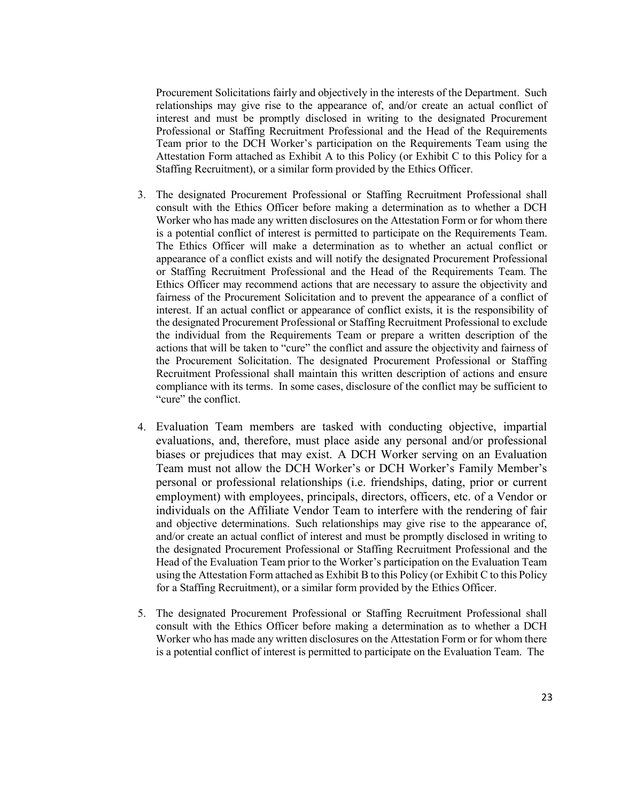Procurement Solicitations fairly and objectively in the interests of the Department. Such relationships may give rise to the appearance of, and/or create an actual conflict of interest and must be promptly disclosed in writing to the designated Procurement Professional or Staffing Recruitment Professional and the Head of the Requirements Team prior to the DCH Worker's participation on the Requirements Team using the Attestation Form attached as Exhibit A to this Policy (or Exhibit C to this Policy for a Staffing Recruitment), or a similar form provided by the Ethics Officer.

- 3. The designated Procurement Professional or Staffing Recruitment Professional shall consult with the Ethics Officer before making a determination as to whether a DCH Worker who has made any written disclosures on the Attestation Form or for whom there is a potential conflict of interest is permitted to participate on the Requirements Team. The Ethics Officer will make a determination as to whether an actual conflict or appearance of a conflict exists and will notify the designated Procurement Professional or Staffing Recruitment Professional and the Head of the Requirements Team. The Ethics Officer may recommend actions that are necessary to assure the objectivity and fairness of the Procurement Solicitation and to prevent the appearance of a conflict of interest. If an actual conflict or appearance of conflict exists, it is the responsibility of the designated Procurement Professional or Staffing Recruitment Professional to exclude the individual from the Requirements Team or prepare a written description of the actions that will be taken to "cure" the conflict and assure the objectivity and fairness of the Procurement Solicitation. The designated Procurement Professional or Staffing Recruitment Professional shall maintain this written description of actions and ensure compliance with its terms. In some cases, disclosure of the conflict may be sufficient to "cure" the conflict.
- 4. Evaluation Team members are tasked with conducting objective, impartial evaluations, and, therefore, must place aside any personal and/or professional biases or prejudices that may exist. A DCH Worker serving on an Evaluation Team must not allow the DCH Worker's or DCH Worker's Family Member's personal or professional relationships (i.e. friendships, dating, prior or current employment) with employees, principals, directors, officers, etc. of a Vendor or individuals on the Affiliate Vendor Team to interfere with the rendering of fair and objective determinations. Such relationships may give rise to the appearance of, and/or create an actual conflict of interest and must be promptly disclosed in writing to the designated Procurement Professional or Staffing Recruitment Professional and the Head of the Evaluation Team prior to the Worker's participation on the Evaluation Team using the Attestation Form attached as Exhibit B to this Policy (or Exhibit C to this Policy for a Staffing Recruitment), or a similar form provided by the Ethics Officer.
- 5. The designated Procurement Professional or Staffing Recruitment Professional shall consult with the Ethics Officer before making a determination as to whether a DCH Worker who has made any written disclosures on the Attestation Form or for whom there is a potential conflict of interest is permitted to participate on the Evaluation Team. The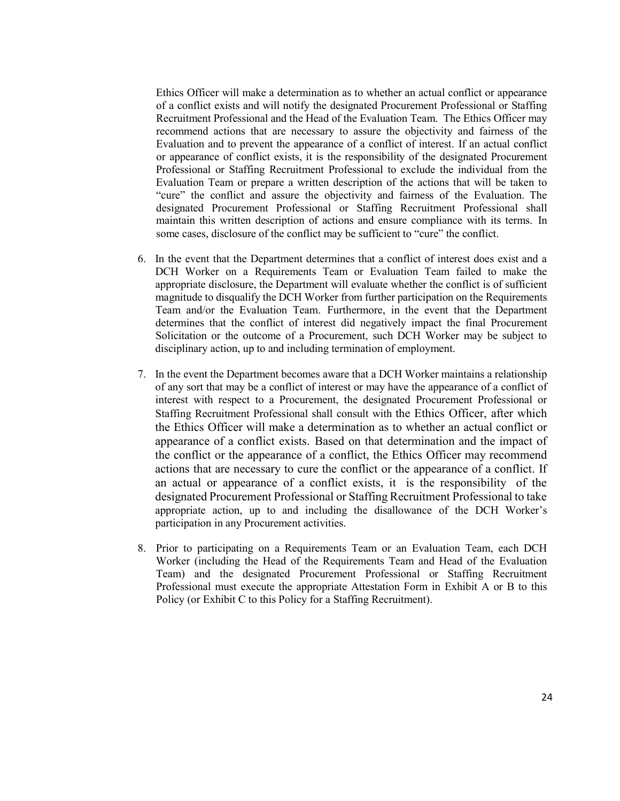Ethics Officer will make a determination as to whether an actual conflict or appearance of a conflict exists and will notify the designated Procurement Professional or Staffing Recruitment Professional and the Head of the Evaluation Team. The Ethics Officer may recommend actions that are necessary to assure the objectivity and fairness of the Evaluation and to prevent the appearance of a conflict of interest. If an actual conflict or appearance of conflict exists, it is the responsibility of the designated Procurement Professional or Staffing Recruitment Professional to exclude the individual from the Evaluation Team or prepare a written description of the actions that will be taken to "cure" the conflict and assure the objectivity and fairness of the Evaluation. The designated Procurement Professional or Staffing Recruitment Professional shall maintain this written description of actions and ensure compliance with its terms. In some cases, disclosure of the conflict may be sufficient to "cure" the conflict.

- 6. In the event that the Department determines that a conflict of interest does exist and a DCH Worker on a Requirements Team or Evaluation Team failed to make the appropriate disclosure, the Department will evaluate whether the conflict is of sufficient magnitude to disqualify the DCH Worker from further participation on the Requirements Team and/or the Evaluation Team. Furthermore, in the event that the Department determines that the conflict of interest did negatively impact the final Procurement Solicitation or the outcome of a Procurement, such DCH Worker may be subject to disciplinary action, up to and including termination of employment.
- 7. In the event the Department becomes aware that a DCH Worker maintains a relationship of any sort that may be a conflict of interest or may have the appearance of a conflict of interest with respect to a Procurement, the designated Procurement Professional or Staffing Recruitment Professional shall consult with the Ethics Officer, after which the Ethics Officer will make a determination as to whether an actual conflict or appearance of a conflict exists. Based on that determination and the impact of the conflict or the appearance of a conflict, the Ethics Officer may recommend actions that are necessary to cure the conflict or the appearance of a conflict. If an actual or appearance of a conflict exists, it is the responsibility of the designated Procurement Professional or Staffing Recruitment Professional to take appropriate action, up to and including the disallowance of the DCH Worker's participation in any Procurement activities.
- 8. Prior to participating on a Requirements Team or an Evaluation Team, each DCH Worker (including the Head of the Requirements Team and Head of the Evaluation Team) and the designated Procurement Professional or Staffing Recruitment Professional must execute the appropriate Attestation Form in Exhibit A or B to this Policy (or Exhibit C to this Policy for a Staffing Recruitment).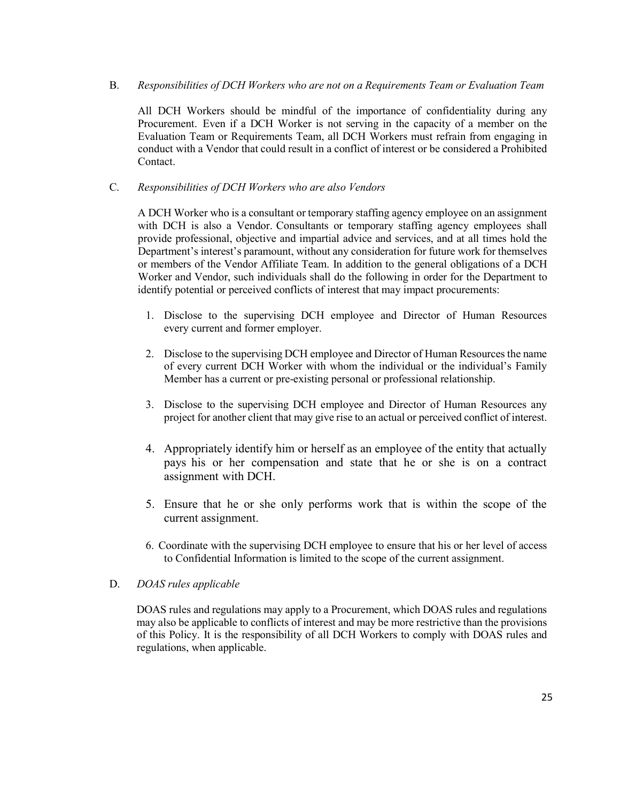### B. *Responsibilities of DCH Workers who are not on a Requirements Team or Evaluation Team*

All DCH Workers should be mindful of the importance of confidentiality during any Procurement. Even if a DCH Worker is not serving in the capacity of a member on the Evaluation Team or Requirements Team, all DCH Workers must refrain from engaging in conduct with a Vendor that could result in a conflict of interest or be considered a Prohibited Contact.

### C. *Responsibilities of DCH Workers who are also Vendors*

A DCH Worker who is a consultant or temporary staffing agency employee on an assignment with DCH is also a Vendor. Consultants or temporary staffing agency employees shall provide professional, objective and impartial advice and services, and at all times hold the Department's interest's paramount, without any consideration for future work for themselves or members of the Vendor Affiliate Team. In addition to the general obligations of a DCH Worker and Vendor, such individuals shall do the following in order for the Department to identify potential or perceived conflicts of interest that may impact procurements:

- 1. Disclose to the supervising DCH employee and Director of Human Resources every current and former employer.
- 2. Disclose to the supervising DCH employee and Director of Human Resources the name of every current DCH Worker with whom the individual or the individual's Family Member has a current or pre-existing personal or professional relationship.
- 3. Disclose to the supervising DCH employee and Director of Human Resources any project for another client that may give rise to an actual or perceived conflict of interest.
- 4. Appropriately identify him or herself as an employee of the entity that actually pays his or her compensation and state that he or she is on a contract assignment with DCH.
- 5. Ensure that he or she only performs work that is within the scope of the current assignment.
- 6. Coordinate with the supervising DCH employee to ensure that his or her level of access to Confidential Information is limited to the scope of the current assignment.

### D. *DOAS rules applicable*

DOAS rules and regulations may apply to a Procurement, which DOAS rules and regulations may also be applicable to conflicts of interest and may be more restrictive than the provisions of this Policy. It is the responsibility of all DCH Workers to comply with DOAS rules and regulations, when applicable.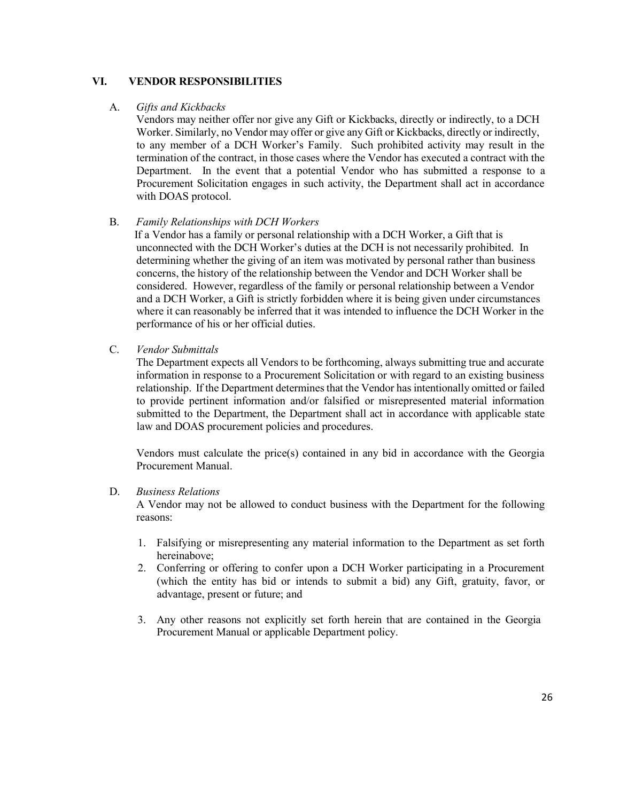### **VI. VENDOR RESPONSIBILITIES**

#### A. *Gifts and Kickbacks*

Vendors may neither offer nor give any Gift or Kickbacks, directly or indirectly, to a DCH Worker. Similarly, no Vendor may offer or give any Gift or Kickbacks, directly or indirectly, to any member of a DCH Worker's Family. Such prohibited activity may result in the termination of the contract, in those cases where the Vendor has executed a contract with the Department. In the event that a potential Vendor who has submitted a response to a Procurement Solicitation engages in such activity, the Department shall act in accordance with DOAS protocol.

### B. *Family Relationships with DCH Workers*

If a Vendor has a family or personal relationship with a DCH Worker, a Gift that is unconnected with the DCH Worker's duties at the DCH is not necessarily prohibited. In determining whether the giving of an item was motivated by personal rather than business concerns, the history of the relationship between the Vendor and DCH Worker shall be considered. However, regardless of the family or personal relationship between a Vendor and a DCH Worker, a Gift is strictly forbidden where it is being given under circumstances where it can reasonably be inferred that it was intended to influence the DCH Worker in the performance of his or her official duties.

#### C. *Vendor Submittals*

The Department expects all Vendors to be forthcoming, always submitting true and accurate information in response to a Procurement Solicitation or with regard to an existing business relationship. If the Department determines that the Vendor has intentionally omitted or failed to provide pertinent information and/or falsified or misrepresented material information submitted to the Department, the Department shall act in accordance with applicable state law and DOAS procurement policies and procedures.

Vendors must calculate the price(s) contained in any bid in accordance with the Georgia Procurement Manual.

#### D. *Business Relations*

A Vendor may not be allowed to conduct business with the Department for the following reasons:

- 1. Falsifying or misrepresenting any material information to the Department as set forth hereinabove;
- 2. Conferring or offering to confer upon a DCH Worker participating in a Procurement (which the entity has bid or intends to submit a bid) any Gift, gratuity, favor, or advantage, present or future; and
- 3. Any other reasons not explicitly set forth herein that are contained in the Georgia Procurement Manual or applicable Department policy.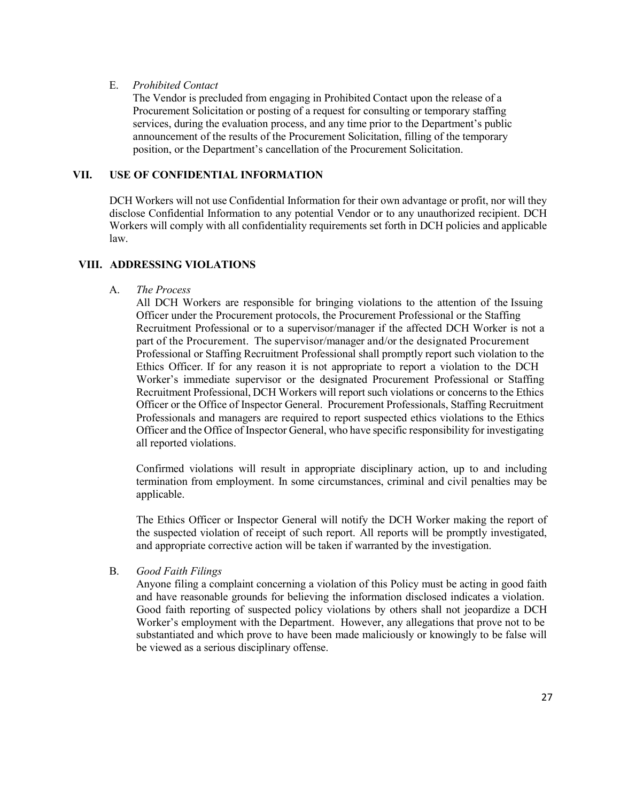#### E. *Prohibited Contact*

The Vendor is precluded from engaging in Prohibited Contact upon the release of a Procurement Solicitation or posting of a request for consulting or temporary staffing services, during the evaluation process, and any time prior to the Department's public announcement of the results of the Procurement Solicitation, filling of the temporary position, or the Department's cancellation of the Procurement Solicitation.

### **VII. USE OF CONFIDENTIAL INFORMATION**

DCH Workers will not use Confidential Information for their own advantage or profit, nor will they disclose Confidential Information to any potential Vendor or to any unauthorized recipient. DCH Workers will comply with all confidentiality requirements set forth in DCH policies and applicable law.

#### **VIII. ADDRESSING VIOLATIONS**

#### A. *The Process*

All DCH Workers are responsible for bringing violations to the attention of the Issuing Officer under the Procurement protocols, the Procurement Professional or the Staffing Recruitment Professional or to a supervisor/manager if the affected DCH Worker is not a part of the Procurement. The supervisor/manager and/or the designated Procurement Professional or Staffing Recruitment Professional shall promptly report such violation to the Ethics Officer. If for any reason it is not appropriate to report a violation to the DCH Worker's immediate supervisor or the designated Procurement Professional or Staffing Recruitment Professional, DCH Workers will report such violations or concerns to the Ethics Officer or the Office of Inspector General. Procurement Professionals, Staffing Recruitment Professionals and managers are required to report suspected ethics violations to the Ethics Officer and the Office of Inspector General, who have specific responsibility for investigating all reported violations.

Confirmed violations will result in appropriate disciplinary action, up to and including termination from employment. In some circumstances, criminal and civil penalties may be applicable.

The Ethics Officer or Inspector General will notify the DCH Worker making the report of the suspected violation of receipt of such report. All reports will be promptly investigated, and appropriate corrective action will be taken if warranted by the investigation.

#### B. *Good Faith Filings*

Anyone filing a complaint concerning a violation of this Policy must be acting in good faith and have reasonable grounds for believing the information disclosed indicates a violation. Good faith reporting of suspected policy violations by others shall not jeopardize a DCH Worker's employment with the Department. However, any allegations that prove not to be substantiated and which prove to have been made maliciously or knowingly to be false will be viewed as a serious disciplinary offense.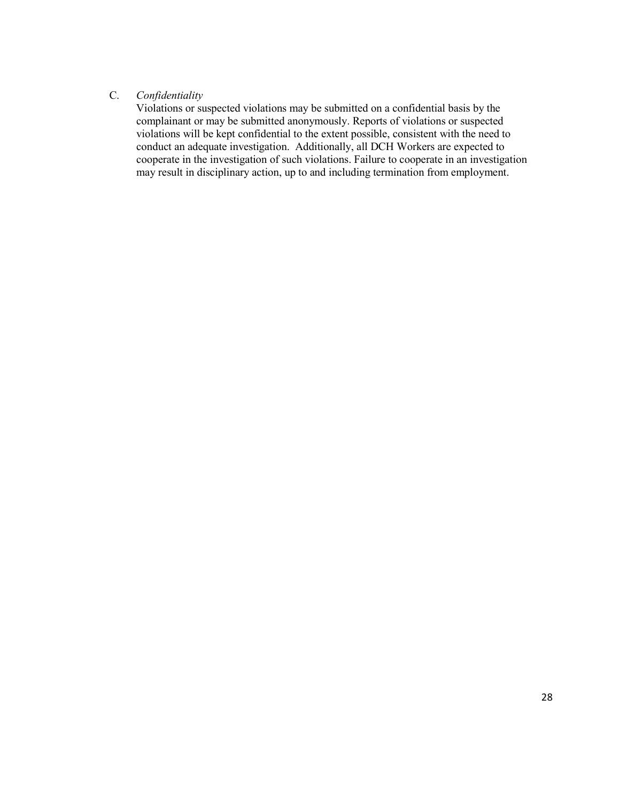### C. *Confidentiality*

Violations or suspected violations may be submitted on a confidential basis by the complainant or may be submitted anonymously. Reports of violations or suspected violations will be kept confidential to the extent possible, consistent with the need to conduct an adequate investigation. Additionally, all DCH Workers are expected to cooperate in the investigation of such violations. Failure to cooperate in an investigation may result in disciplinary action, up to and including termination from employment.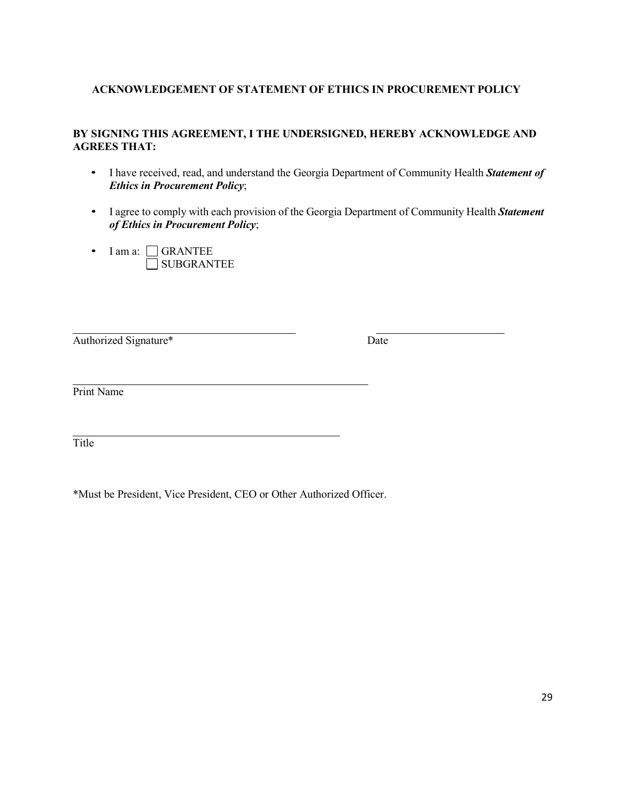### **ACKNOWLEDGEMENT OF STATEMENT OF ETHICS IN PROCUREMENT POLICY**

### **BY SIGNING THIS AGREEMENT, I THE UNDERSIGNED, HEREBY ACKNOWLEDGE AND AGREES THAT:**

- I have received, read, and understand the Georgia Department of Community Health *Statement of Ethics in Procurement Policy*;
- I agree to comply with each provision of the Georgia Department of Community Health *Statement of Ethics in Procurement Policy*;
- I am a: CGRANTEE SUBGRANTEE

Authorized Signature\* Date

Print Name

Title

\*Must be President, Vice President, CEO or Other Authorized Officer.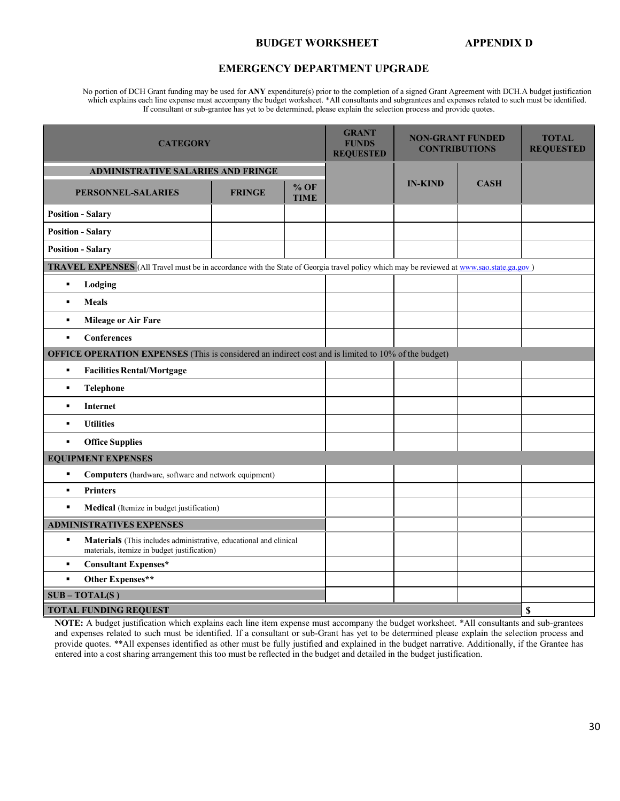#### **BUDGET WORKSHEET APPENDIX D**

#### **EMERGENCY DEPARTMENT UPGRADE**

No portion of DCH Grant funding may be used for **ANY** expenditure(s) prior to the completion of a signed Grant Agreement with DCH.A budget justification which explains each line expense must accompany the budget worksheet. \*All consultants and subgrantees and expenses related to such must be identified. If consultant or sub-grantee has yet to be determined, please explain the selection process and provide quotes.

| <b>CATEGORY</b>                                                                                                                          |  |  | <b>GRANT</b><br><b>FUNDS</b><br><b>REQUESTED</b> | <b>NON-GRANT FUNDED</b><br><b>CONTRIBUTIONS</b> |  | <b>TOTAL</b><br><b>REQUESTED</b> |
|------------------------------------------------------------------------------------------------------------------------------------------|--|--|--------------------------------------------------|-------------------------------------------------|--|----------------------------------|
| <b>ADMINISTRATIVE SALARIES AND FRINGE</b>                                                                                                |  |  |                                                  |                                                 |  |                                  |
| $%$ OF<br>PERSONNEL-SALARIES<br><b>FRINGE</b><br><b>TIME</b>                                                                             |  |  | <b>IN-KIND</b>                                   | <b>CASH</b>                                     |  |                                  |
| <b>Position - Salary</b>                                                                                                                 |  |  |                                                  |                                                 |  |                                  |
| <b>Position - Salary</b>                                                                                                                 |  |  |                                                  |                                                 |  |                                  |
| <b>Position - Salary</b>                                                                                                                 |  |  |                                                  |                                                 |  |                                  |
| TRAVEL EXPENSES (All Travel must be in accordance with the State of Georgia travel policy which may be reviewed at www.sao.state.ga.gov) |  |  |                                                  |                                                 |  |                                  |
| Lodging<br>$\blacksquare$                                                                                                                |  |  |                                                  |                                                 |  |                                  |
| <b>Meals</b><br>$\blacksquare$                                                                                                           |  |  |                                                  |                                                 |  |                                  |
| <b>Mileage or Air Fare</b><br>٠                                                                                                          |  |  |                                                  |                                                 |  |                                  |
| Conferences<br>$\blacksquare$                                                                                                            |  |  |                                                  |                                                 |  |                                  |
| <b>OFFICE OPERATION EXPENSES</b> (This is considered an indirect cost and is limited to 10% of the budget)                               |  |  |                                                  |                                                 |  |                                  |
| <b>Facilities Rental/Mortgage</b><br>$\blacksquare$                                                                                      |  |  |                                                  |                                                 |  |                                  |
| <b>Telephone</b><br>٠                                                                                                                    |  |  |                                                  |                                                 |  |                                  |
| Internet<br>٠                                                                                                                            |  |  |                                                  |                                                 |  |                                  |
| <b>Utilities</b><br>$\blacksquare$                                                                                                       |  |  |                                                  |                                                 |  |                                  |
| <b>Office Supplies</b><br>$\blacksquare$                                                                                                 |  |  |                                                  |                                                 |  |                                  |
| <b>EQUIPMENT EXPENSES</b>                                                                                                                |  |  |                                                  |                                                 |  |                                  |
| $\blacksquare$<br>Computers (hardware, software and network equipment)                                                                   |  |  |                                                  |                                                 |  |                                  |
| $\blacksquare$<br><b>Printers</b>                                                                                                        |  |  |                                                  |                                                 |  |                                  |
| $\blacksquare$<br><b>Medical</b> (Itemize in budget justification)                                                                       |  |  |                                                  |                                                 |  |                                  |
| <b>ADMINISTRATIVES EXPENSES</b>                                                                                                          |  |  |                                                  |                                                 |  |                                  |
| $\blacksquare$<br>Materials (This includes administrative, educational and clinical<br>materials, itemize in budget justification)       |  |  |                                                  |                                                 |  |                                  |
| $\blacksquare$<br><b>Consultant Expenses*</b>                                                                                            |  |  |                                                  |                                                 |  |                                  |
| Other Expenses**<br>$\blacksquare$                                                                                                       |  |  |                                                  |                                                 |  |                                  |
| $SUB - TOTAL(S)$                                                                                                                         |  |  |                                                  |                                                 |  |                                  |
| \$<br><b>TOTAL FUNDING REQUEST</b>                                                                                                       |  |  |                                                  |                                                 |  |                                  |

**NOTE:** A budget justification which explains each line item expense must accompany the budget worksheet. \*All consultants and sub-grantees and expenses related to such must be identified. If a consultant or sub-Grant has yet to be determined please explain the selection process and provide quotes. \*\*All expenses identified as other must be fully justified and explained in the budget narrative. Additionally, if the Grantee has entered into a cost sharing arrangement this too must be reflected in the budget and detailed in the budget justification.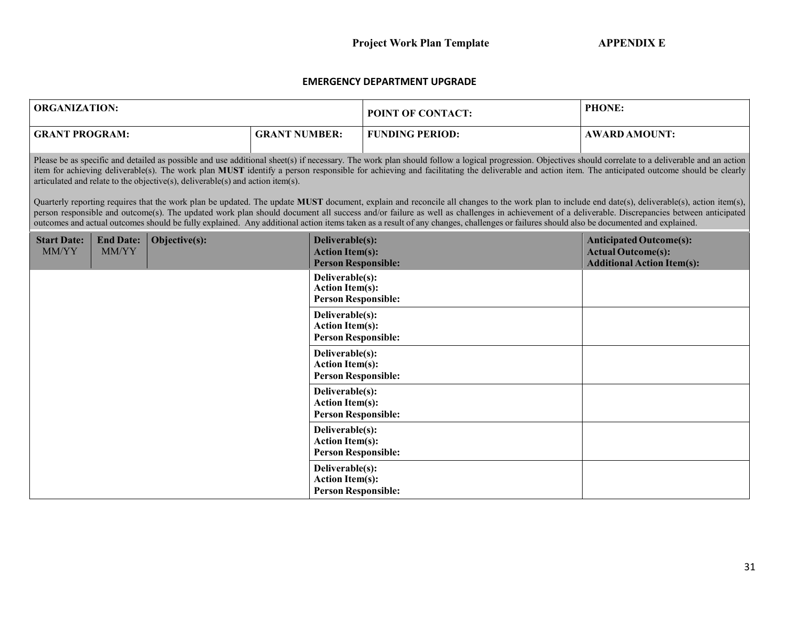### **EMERGENCY DEPARTMENT UPGRADE**

| <b>ORGANIZATION:</b>        |                                                                                                                                                                                                                                                                                                                                                                                                                                                                                                                                                                                                                                                                                                                                                                                                                                                                                                                                                                                                                                                                                        |               |                                                                         | <b>POINT OF CONTACT:</b> | PHONE:                                                                                           |  |  |  |
|-----------------------------|----------------------------------------------------------------------------------------------------------------------------------------------------------------------------------------------------------------------------------------------------------------------------------------------------------------------------------------------------------------------------------------------------------------------------------------------------------------------------------------------------------------------------------------------------------------------------------------------------------------------------------------------------------------------------------------------------------------------------------------------------------------------------------------------------------------------------------------------------------------------------------------------------------------------------------------------------------------------------------------------------------------------------------------------------------------------------------------|---------------|-------------------------------------------------------------------------|--------------------------|--------------------------------------------------------------------------------------------------|--|--|--|
| <b>GRANT PROGRAM:</b>       |                                                                                                                                                                                                                                                                                                                                                                                                                                                                                                                                                                                                                                                                                                                                                                                                                                                                                                                                                                                                                                                                                        |               | <b>GRANT NUMBER:</b>                                                    | <b>FUNDING PERIOD:</b>   | <b>AWARD AMOUNT:</b>                                                                             |  |  |  |
|                             | Please be as specific and detailed as possible and use additional sheet(s) if necessary. The work plan should follow a logical progression. Objectives should correlate to a deliverable and an action<br>item for achieving deliverable(s). The work plan MUST identify a person responsible for achieving and facilitating the deliverable and action item. The anticipated outcome should be clearly<br>articulated and relate to the objective(s), deliverable(s) and action item(s).<br>Quarterly reporting requires that the work plan be updated. The update MUST document, explain and reconcile all changes to the work plan to include end date(s), deliverable(s), action item(s),<br>person responsible and outcome(s). The updated work plan should document all success and/or failure as well as challenges in achievement of a deliverable. Discrepancies between anticipated<br>outcomes and actual outcomes should be fully explained. Any additional action items taken as a result of any changes, challenges or failures should also be documented and explained. |               |                                                                         |                          |                                                                                                  |  |  |  |
| <b>Start Date:</b><br>MM/YY | <b>End Date:</b><br>MM/YY                                                                                                                                                                                                                                                                                                                                                                                                                                                                                                                                                                                                                                                                                                                                                                                                                                                                                                                                                                                                                                                              | Objective(s): | Deliverable(s):<br><b>Action Item(s):</b><br><b>Person Responsible:</b> |                          | <b>Anticipated Outcome(s):</b><br><b>Actual Outcome(s):</b><br><b>Additional Action Item(s):</b> |  |  |  |
|                             |                                                                                                                                                                                                                                                                                                                                                                                                                                                                                                                                                                                                                                                                                                                                                                                                                                                                                                                                                                                                                                                                                        |               | Deliverable(s):<br><b>Action Item(s):</b><br><b>Person Responsible:</b> |                          |                                                                                                  |  |  |  |
|                             |                                                                                                                                                                                                                                                                                                                                                                                                                                                                                                                                                                                                                                                                                                                                                                                                                                                                                                                                                                                                                                                                                        |               | Deliverable(s):<br><b>Action Item(s):</b><br><b>Person Responsible:</b> |                          |                                                                                                  |  |  |  |
|                             |                                                                                                                                                                                                                                                                                                                                                                                                                                                                                                                                                                                                                                                                                                                                                                                                                                                                                                                                                                                                                                                                                        |               | Deliverable(s):<br><b>Action Item(s):</b><br><b>Person Responsible:</b> |                          |                                                                                                  |  |  |  |
|                             |                                                                                                                                                                                                                                                                                                                                                                                                                                                                                                                                                                                                                                                                                                                                                                                                                                                                                                                                                                                                                                                                                        |               | Deliverable(s):<br><b>Action Item(s):</b><br><b>Person Responsible:</b> |                          |                                                                                                  |  |  |  |
|                             |                                                                                                                                                                                                                                                                                                                                                                                                                                                                                                                                                                                                                                                                                                                                                                                                                                                                                                                                                                                                                                                                                        |               | Deliverable(s):<br><b>Action Item(s):</b><br><b>Person Responsible:</b> |                          |                                                                                                  |  |  |  |
|                             |                                                                                                                                                                                                                                                                                                                                                                                                                                                                                                                                                                                                                                                                                                                                                                                                                                                                                                                                                                                                                                                                                        |               | Deliverable(s):<br><b>Action Item(s):</b><br><b>Person Responsible:</b> |                          |                                                                                                  |  |  |  |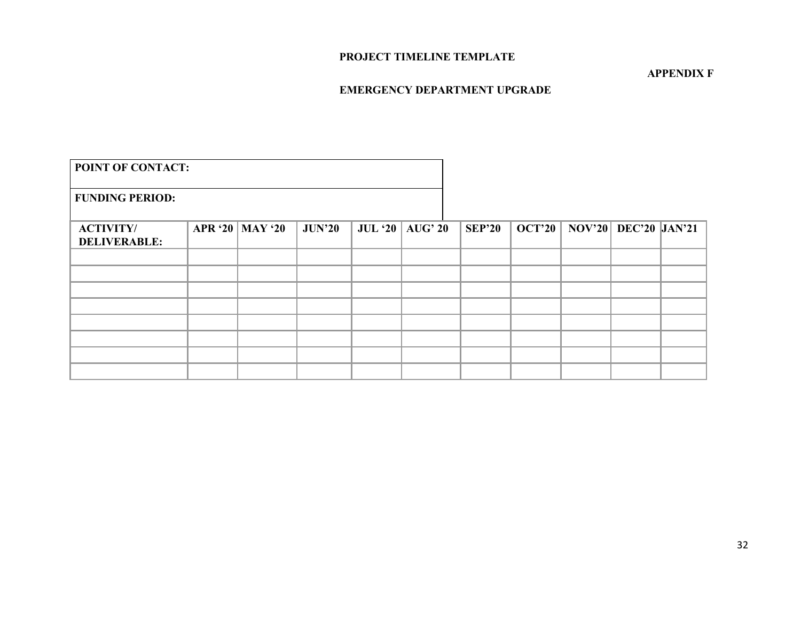### **PROJECT TIMELINE TEMPLATE**

#### **APPENDIX F**

### **EMERGENCY DEPARTMENT UPGRADE**

| <b>POINT OF CONTACT:</b>                |                   |               |                   |               |                                         |  |
|-----------------------------------------|-------------------|---------------|-------------------|---------------|-----------------------------------------|--|
| <b>FUNDING PERIOD:</b>                  |                   |               |                   |               |                                         |  |
| <b>ACTIVITY/</b><br><b>DELIVERABLE:</b> | APR '20   MAY '20 | <b>JUN'20</b> | JUL '20   AUG' 20 | <b>SEP'20</b> | <b>OCT'20   NOV'20   DEC'20  JAN'21</b> |  |
|                                         |                   |               |                   |               |                                         |  |
|                                         |                   |               |                   |               |                                         |  |
|                                         |                   |               |                   |               |                                         |  |
|                                         |                   |               |                   |               |                                         |  |
|                                         |                   |               |                   |               |                                         |  |
|                                         |                   |               |                   |               |                                         |  |
|                                         |                   |               |                   |               |                                         |  |
|                                         |                   |               |                   |               |                                         |  |